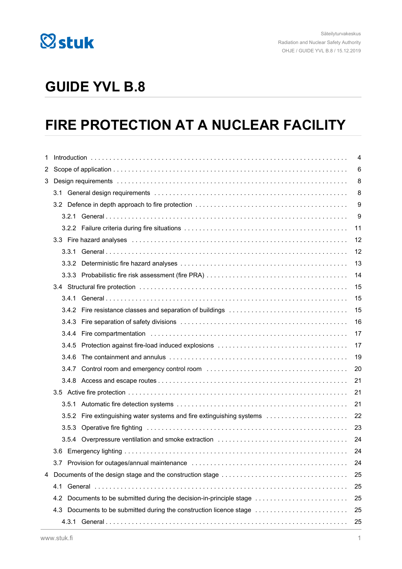

## **GUIDE YVL B.8**

## **FIRE PROTECTION AT A NUCLEAR FACILITY**

| 1. | 4                                                                       |    |  |  |
|----|-------------------------------------------------------------------------|----|--|--|
|    |                                                                         | 6  |  |  |
|    |                                                                         | 8  |  |  |
|    |                                                                         | 8  |  |  |
|    |                                                                         | 9  |  |  |
|    |                                                                         | 9  |  |  |
|    |                                                                         | 11 |  |  |
|    |                                                                         | 12 |  |  |
|    |                                                                         | 12 |  |  |
|    |                                                                         | 13 |  |  |
|    |                                                                         | 14 |  |  |
|    |                                                                         | 15 |  |  |
|    |                                                                         | 15 |  |  |
|    |                                                                         | 15 |  |  |
|    |                                                                         | 16 |  |  |
|    |                                                                         | 17 |  |  |
|    | 3.4.5                                                                   | 17 |  |  |
|    | 3.4.6                                                                   | 19 |  |  |
|    |                                                                         | 20 |  |  |
|    |                                                                         | 21 |  |  |
|    |                                                                         | 21 |  |  |
|    |                                                                         | 21 |  |  |
|    | 3.5.2 Fire extinguishing water systems and fire extinguishing systems   | 22 |  |  |
|    |                                                                         | 23 |  |  |
|    |                                                                         | 24 |  |  |
|    |                                                                         | 24 |  |  |
|    |                                                                         | 24 |  |  |
| 4  |                                                                         |    |  |  |
|    | 4.1                                                                     | 25 |  |  |
|    | Documents to be submitted during the decision-in-principle stage<br>4.2 | 25 |  |  |
|    | 4.3                                                                     | 25 |  |  |
|    | 25                                                                      |    |  |  |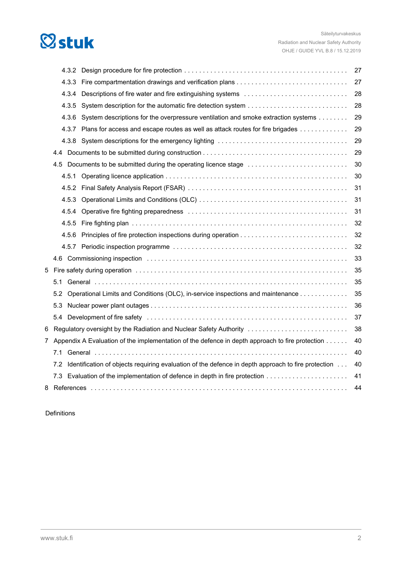

|   |       |                                                                                                                                                                                                                                | 27 |
|---|-------|--------------------------------------------------------------------------------------------------------------------------------------------------------------------------------------------------------------------------------|----|
|   | 4.3.3 |                                                                                                                                                                                                                                | 27 |
|   | 4.3.4 |                                                                                                                                                                                                                                | 28 |
|   | 4.3.5 |                                                                                                                                                                                                                                | 28 |
|   | 4.3.6 | System descriptions for the overpressure ventilation and smoke extraction systems                                                                                                                                              | 29 |
|   | 4.3.7 | Plans for access and escape routes as well as attack routes for fire brigades                                                                                                                                                  | 29 |
|   |       |                                                                                                                                                                                                                                | 29 |
|   | 4.4   |                                                                                                                                                                                                                                | 29 |
|   |       | 4.5 Documents to be submitted during the operating licence stage                                                                                                                                                               | 30 |
|   | 4.5.1 |                                                                                                                                                                                                                                | 30 |
|   | 4.5.2 |                                                                                                                                                                                                                                | 31 |
|   | 4.5.3 |                                                                                                                                                                                                                                | 31 |
|   | 4.5.4 |                                                                                                                                                                                                                                | 31 |
|   | 4.5.5 |                                                                                                                                                                                                                                | 32 |
|   | 4.5.6 |                                                                                                                                                                                                                                | 32 |
|   |       |                                                                                                                                                                                                                                | 32 |
|   |       |                                                                                                                                                                                                                                | 33 |
| 5 |       | Fire safety during operation with the contract of the contract of the safety during operation with the contract of the same state of the safety during the safety during the state of the state of the state of the state of t | 35 |
|   | 5.1   |                                                                                                                                                                                                                                | 35 |
|   | 5.2   | Operational Limits and Conditions (OLC), in-service inspections and maintenance                                                                                                                                                | 35 |
|   | 5.3   |                                                                                                                                                                                                                                | 36 |
|   |       |                                                                                                                                                                                                                                | 37 |
| 6 |       | Regulatory oversight by the Radiation and Nuclear Safety Authority                                                                                                                                                             | 38 |
| 7 |       | Appendix A Evaluation of the implementation of the defence in depth approach to fire protection                                                                                                                                | 40 |
|   | 7.1   |                                                                                                                                                                                                                                | 40 |
|   |       | 7.2 Identification of objects requiring evaluation of the defence in depth approach to fire protection                                                                                                                         | 40 |
|   |       | 7.3 Evaluation of the implementation of defence in depth in fire protection                                                                                                                                                    | 41 |
|   |       |                                                                                                                                                                                                                                | 44 |
|   |       |                                                                                                                                                                                                                                |    |

Definitions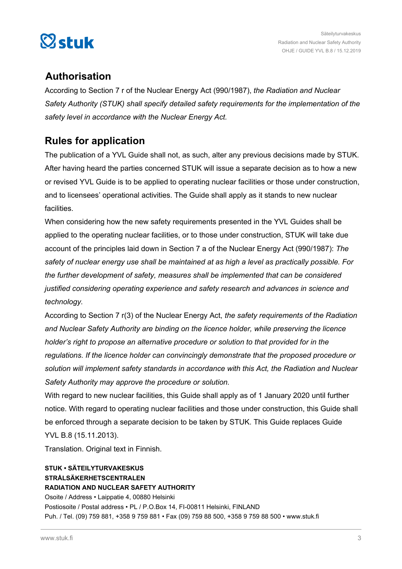

## **Authorisation**

According to Section 7 r of the Nuclear Energy Act (990/1987), *the Radiation and Nuclear Safety Authority (STUK) shall specify detailed safety requirements for the implementation of the safety level in accordance with the Nuclear Energy Act.*

## **Rules for application**

The publication of a YVL Guide shall not, as such, alter any previous decisions made by STUK. After having heard the parties concerned STUK will issue a separate decision as to how a new or revised YVL Guide is to be applied to operating nuclear facilities or those under construction, and to licensees' operational activities. The Guide shall apply as it stands to new nuclear facilities.

When considering how the new safety requirements presented in the YVL Guides shall be applied to the operating nuclear facilities, or to those under construction, STUK will take due account of the principles laid down in Section 7 a of the Nuclear Energy Act (990/1987): *The safety of nuclear energy use shall be maintained at as high a level as practically possible. For the further development of safety, measures shall be implemented that can be considered justified considering operating experience and safety research and advances in science and technology.*

According to Section 7 r(3) of the Nuclear Energy Act, *the safety requirements of the Radiation and Nuclear Safety Authority are binding on the licence holder, while preserving the licence holder's right to propose an alternative procedure or solution to that provided for in the regulations. If the licence holder can convincingly demonstrate that the proposed procedure or solution will implement safety standards in accordance with this Act, the Radiation and Nuclear Safety Authority may approve the procedure or solution.*

With regard to new nuclear facilities, this Guide shall apply as of 1 January 2020 until further notice. With regard to operating nuclear facilities and those under construction, this Guide shall be enforced through a separate decision to be taken by STUK. This Guide replaces Guide

YVL B.8 (15.11.2013).

Translation. Original text in Finnish.

#### **STUK • SÄTEILYTURVAKESKUS STRÅLSÄKERHETSCENTRALEN RADIATION AND NUCLEAR SAFETY AUTHORITY**

Osoite / Address • Laippatie 4, 00880 Helsinki Postiosoite / Postal address • PL / P.O.Box 14, FI-00811 Helsinki, FINLAND Puh. / Tel. (09) 759 881, +358 9 759 881 • Fax (09) 759 88 500, +358 9 759 88 500 • www.stuk.fi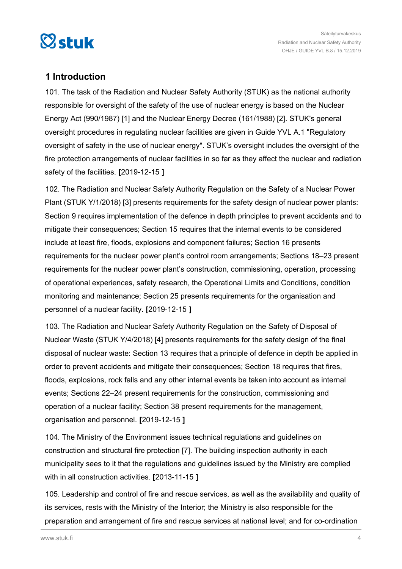<span id="page-3-0"></span>

## **1 Introduction**

101. The task of the Radiation and Nuclear Safety Authority (STUK) as the national authority responsible for oversight of the safety of the use of nuclear energy is based on the Nuclear Energy Act (990/1987) [1] and the Nuclear Energy Decree (161/1988) [2]. STUK's general oversight procedures in regulating nuclear facilities are given in Guide YVL A.1 "Regulatory oversight of safety in the use of nuclear energy". STUK's oversight includes the oversight of the fire protection arrangements of nuclear facilities in so far as they affect the nuclear and radiation safety of the facilities. **[**2019-12-15 **]**

102. The Radiation and Nuclear Safety Authority Regulation on the Safety of a Nuclear Power Plant (STUK Y/1/2018) [3] presents requirements for the safety design of nuclear power plants: Section 9 requires implementation of the defence in depth principles to prevent accidents and to mitigate their consequences; Section 15 requires that the internal events to be considered include at least fire, floods, explosions and component failures; Section 16 presents requirements for the nuclear power plant's control room arrangements; Sections 18–23 present requirements for the nuclear power plant's construction, commissioning, operation, processing of operational experiences, safety research, the Operational Limits and Conditions, condition monitoring and maintenance; Section 25 presents requirements for the organisation and personnel of a nuclear facility. **[**2019-12-15 **]**

103. The Radiation and Nuclear Safety Authority Regulation on the Safety of Disposal of Nuclear Waste (STUK Y/4/2018) [4] presents requirements for the safety design of the final disposal of nuclear waste: Section 13 requires that a principle of defence in depth be applied in order to prevent accidents and mitigate their consequences; Section 18 requires that fires, floods, explosions, rock falls and any other internal events be taken into account as internal events; Sections 22–24 present requirements for the construction, commissioning and operation of a nuclear facility; Section 38 present requirements for the management, organisation and personnel. **[**2019-12-15 **]**

104. The Ministry of the Environment issues technical regulations and guidelines on construction and structural fire protection [7]. The building inspection authority in each municipality sees to it that the regulations and guidelines issued by the Ministry are complied with in all construction activities. **[**2013-11-15 **]**

105. Leadership and control of fire and rescue services, as well as the availability and quality of its services, rests with the Ministry of the Interior; the Ministry is also responsible for the preparation and arrangement of fire and rescue services at national level; and for co-ordination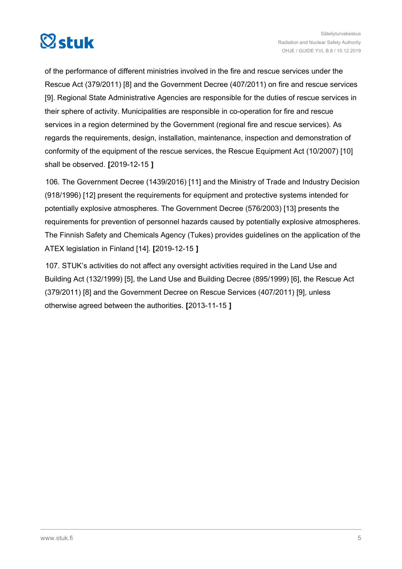

of the performance of different ministries involved in the fire and rescue services under the Rescue Act (379/2011) [8] and the Government Decree (407/2011) on fire and rescue services [9]. Regional State Administrative Agencies are responsible for the duties of rescue services in their sphere of activity. Municipalities are responsible in co-operation for fire and rescue services in a region determined by the Government (regional fire and rescue services). As regards the requirements, design, installation, maintenance, inspection and demonstration of conformity of the equipment of the rescue services, the Rescue Equipment Act (10/2007) [10] shall be observed. **[**2019-12-15 **]**

106. The Government Decree (1439/2016) [11] and the Ministry of Trade and Industry Decision (918/1996) [12] present the requirements for equipment and protective systems intended for potentially explosive atmospheres. The Government Decree (576/2003) [13] presents the requirements for prevention of personnel hazards caused by potentially explosive atmospheres. The Finnish Safety and Chemicals Agency (Tukes) provides guidelines on the application of the ATEX legislation in Finland [14]. **[**2019-12-15 **]**

107. STUK's activities do not affect any oversight activities required in the Land Use and Building Act (132/1999) [5], the Land Use and Building Decree (895/1999) [6], the Rescue Act (379/2011) [8] and the Government Decree on Rescue Services (407/2011) [9], unless otherwise agreed between the authorities. **[**2013-11-15 **]**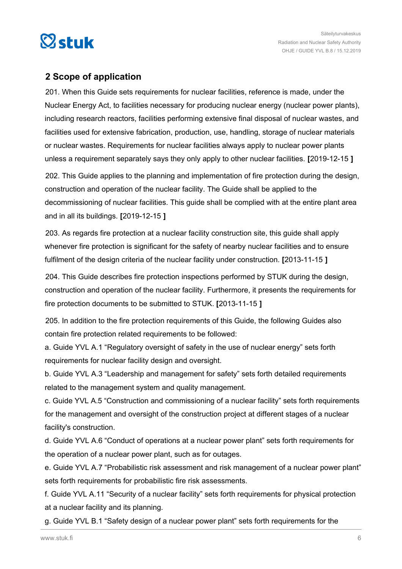<span id="page-5-0"></span>

### **2 Scope of application**

201. When this Guide sets requirements for nuclear facilities, reference is made, under the Nuclear Energy Act, to facilities necessary for producing nuclear energy (nuclear power plants), including research reactors, facilities performing extensive final disposal of nuclear wastes, and facilities used for extensive fabrication, production, use, handling, storage of nuclear materials or nuclear wastes. Requirements for nuclear facilities always apply to nuclear power plants unless a requirement separately says they only apply to other nuclear facilities. **[**2019-12-15 **]**

202. This Guide applies to the planning and implementation of fire protection during the design, construction and operation of the nuclear facility. The Guide shall be applied to the decommissioning of nuclear facilities. This guide shall be complied with at the entire plant area and in all its buildings. **[**2019-12-15 **]**

203. As regards fire protection at a nuclear facility construction site, this guide shall apply whenever fire protection is significant for the safety of nearby nuclear facilities and to ensure fulfilment of the design criteria of the nuclear facility under construction. **[**2013-11-15 **]**

204. This Guide describes fire protection inspections performed by STUK during the design, construction and operation of the nuclear facility. Furthermore, it presents the requirements for fire protection documents to be submitted to STUK. **[**2013-11-15 **]**

205. In addition to the fire protection requirements of this Guide, the following Guides also contain fire protection related requirements to be followed:

a. Guide YVL A.1 "Regulatory oversight of safety in the use of nuclear energy" sets forth requirements for nuclear facility design and oversight.

b. Guide YVL A.3 "Leadership and management for safety" sets forth detailed requirements related to the management system and quality management.

c. Guide YVL A.5 "Construction and commissioning of a nuclear facility" sets forth requirements for the management and oversight of the construction project at different stages of a nuclear facility's construction.

d. Guide YVL A.6 "Conduct of operations at a nuclear power plant" sets forth requirements for the operation of a nuclear power plant, such as for outages.

e. Guide YVL A.7 "Probabilistic risk assessment and risk management of a nuclear power plant" sets forth requirements for probabilistic fire risk assessments.

f. Guide YVL A.11 "Security of a nuclear facility" sets forth requirements for physical protection at a nuclear facility and its planning.

g. Guide YVL B.1 "Safety design of a nuclear power plant" sets forth requirements for the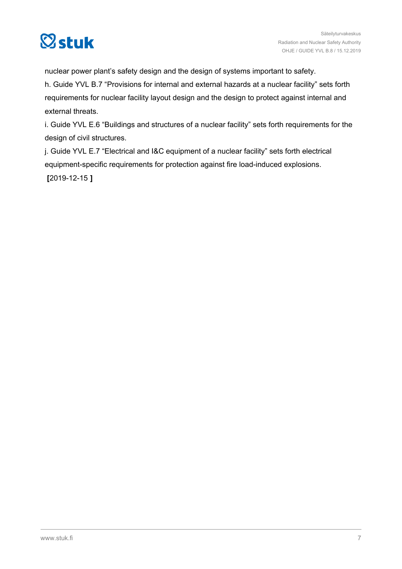

nuclear power plant's safety design and the design of systems important to safety.

h. Guide YVL B.7 "Provisions for internal and external hazards at a nuclear facility" sets forth requirements for nuclear facility layout design and the design to protect against internal and external threats.

i. Guide YVL E.6 "Buildings and structures of a nuclear facility" sets forth requirements for the design of civil structures.

j. Guide YVL E.7 "Electrical and I&C equipment of a nuclear facility" sets forth electrical equipment-specific requirements for protection against fire load-induced explosions. **[**2019-12-15 **]**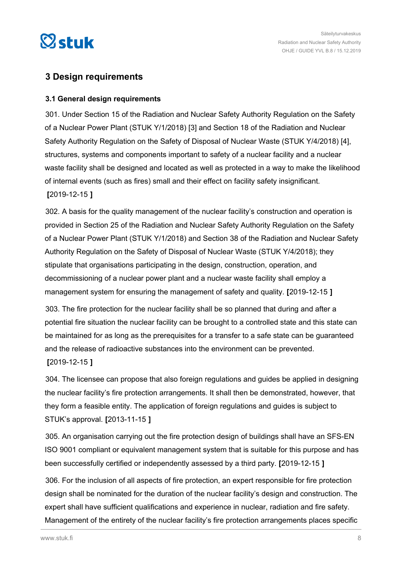<span id="page-7-0"></span>

## **3 Design requirements**

#### **3.1 General design requirements**

301. Under Section 15 of the Radiation and Nuclear Safety Authority Regulation on the Safety of a Nuclear Power Plant (STUK Y/1/2018) [3] and Section 18 of the Radiation and Nuclear Safety Authority Regulation on the Safety of Disposal of Nuclear Waste (STUK Y/4/2018) [4], structures, systems and components important to safety of a nuclear facility and a nuclear waste facility shall be designed and located as well as protected in a way to make the likelihood of internal events (such as fires) small and their effect on facility safety insignificant. **[**2019-12-15 **]**

302. A basis for the quality management of the nuclear facility's construction and operation is provided in Section 25 of the Radiation and Nuclear Safety Authority Regulation on the Safety of a Nuclear Power Plant (STUK Y/1/2018) and Section 38 of the Radiation and Nuclear Safety Authority Regulation on the Safety of Disposal of Nuclear Waste (STUK Y/4/2018); they stipulate that organisations participating in the design, construction, operation, and decommissioning of a nuclear power plant and a nuclear waste facility shall employ a management system for ensuring the management of safety and quality. **[**2019-12-15 **]**

303. The fire protection for the nuclear facility shall be so planned that during and after a potential fire situation the nuclear facility can be brought to a controlled state and this state can be maintained for as long as the prerequisites for a transfer to a safe state can be guaranteed and the release of radioactive substances into the environment can be prevented. **[**2019-12-15 **]**

304. The licensee can propose that also foreign regulations and guides be applied in designing the nuclear facility's fire protection arrangements. It shall then be demonstrated, however, that they form a feasible entity. The application of foreign regulations and guides is subject to STUK's approval. **[**2013-11-15 **]**

305. An organisation carrying out the fire protection design of buildings shall have an SFS-EN ISO 9001 compliant or equivalent management system that is suitable for this purpose and has been successfully certified or independently assessed by a third party. **[**2019-12-15 **]**

306. For the inclusion of all aspects of fire protection, an expert responsible for fire protection design shall be nominated for the duration of the nuclear facility's design and construction. The expert shall have sufficient qualifications and experience in nuclear, radiation and fire safety. Management of the entirety of the nuclear facility's fire protection arrangements places specific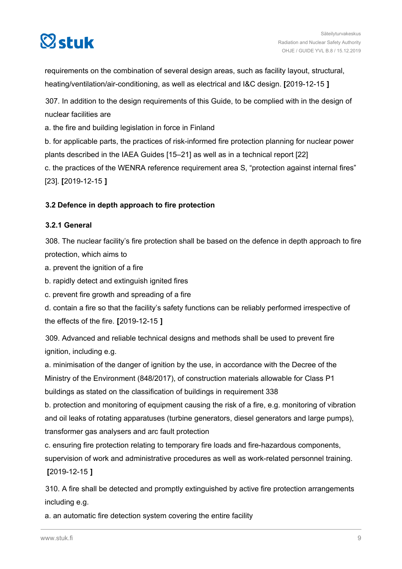<span id="page-8-0"></span>

requirements on the combination of several design areas, such as facility layout, structural, heating/ventilation/air-conditioning, as well as electrical and I&C design. **[**2019-12-15 **]**

307. In addition to the design requirements of this Guide, to be complied with in the design of nuclear facilities are

a. the fire and building legislation in force in Finland

b. for applicable parts, the practices of risk-informed fire protection planning for nuclear power plants described in the IAEA Guides [15–21] as well as in a technical report [22] c. the practices of the WENRA reference requirement area S, "protection against internal fires"

[23]. **[**2019-12-15 **]**

#### **3.2 Defence in depth approach to fire protection**

#### **3.2.1 General**

308. The nuclear facility's fire protection shall be based on the defence in depth approach to fire protection, which aims to

a. prevent the ignition of a fire

b. rapidly detect and extinguish ignited fires

c. prevent fire growth and spreading of a fire

d. contain a fire so that the facility's safety functions can be reliably performed irrespective of the effects of the fire. **[**2019-12-15 **]**

309. Advanced and reliable technical designs and methods shall be used to prevent fire ignition, including e.g.

a. minimisation of the danger of ignition by the use, in accordance with the Decree of the Ministry of the Environment (848/2017), of construction materials allowable for Class P1 buildings as stated on the classification of buildings in requirement 338

b. protection and monitoring of equipment causing the risk of a fire, e.g. monitoring of vibration and oil leaks of rotating apparatuses (turbine generators, diesel generators and large pumps), transformer gas analysers and arc fault protection

c. ensuring fire protection relating to temporary fire loads and fire-hazardous components, supervision of work and administrative procedures as well as work-related personnel training. **[**2019-12-15 **]**

310. A fire shall be detected and promptly extinguished by active fire protection arrangements including e.g.

a. an automatic fire detection system covering the entire facility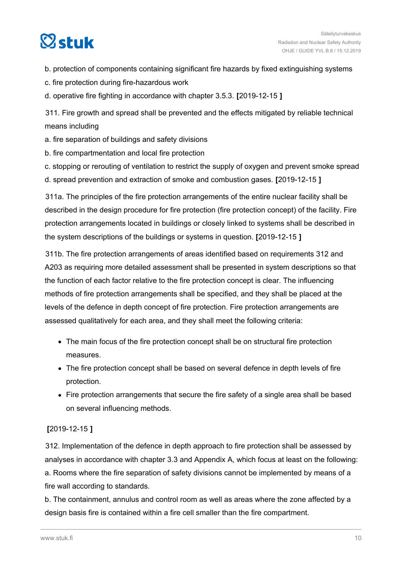# $\heartsuit$ stuk

b. protection of components containing significant fire hazards by fixed extinguishing systems

c. fire protection during fire-hazardous work

d. operative fire fighting in accordance with chapter 3.5.3. **[**2019-12-15 **]**

311. Fire growth and spread shall be prevented and the effects mitigated by reliable technical means including

a. fire separation of buildings and safety divisions

b. fire compartmentation and local fire protection

c. stopping or rerouting of ventilation to restrict the supply of oxygen and prevent smoke spread

d. spread prevention and extraction of smoke and combustion gases. **[**2019-12-15 **]**

311a. The principles of the fire protection arrangements of the entire nuclear facility shall be described in the design procedure for fire protection (fire protection concept) of the facility. Fire protection arrangements located in buildings or closely linked to systems shall be described in the system descriptions of the buildings or systems in question. **[**2019-12-15 **]**

311b. The fire protection arrangements of areas identified based on requirements 312 and A203 as requiring more detailed assessment shall be presented in system descriptions so that the function of each factor relative to the fire protection concept is clear. The influencing methods of fire protection arrangements shall be specified, and they shall be placed at the levels of the defence in depth concept of fire protection. Fire protection arrangements are assessed qualitatively for each area, and they shall meet the following criteria:

- The main focus of the fire protection concept shall be on structural fire protection measures.
- The fire protection concept shall be based on several defence in depth levels of fire protection.
- Fire protection arrangements that secure the fire safety of a single area shall be based on several influencing methods.

#### **[**2019-12-15 **]**

312. Implementation of the defence in depth approach to fire protection shall be assessed by analyses in accordance with chapter 3.3 and Appendix A, which focus at least on the following: a. Rooms where the fire separation of safety divisions cannot be implemented by means of a fire wall according to standards.

b. The containment, annulus and control room as well as areas where the zone affected by a design basis fire is contained within a fire cell smaller than the fire compartment.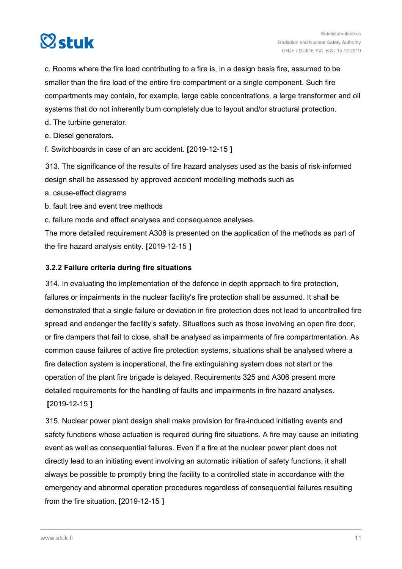<span id="page-10-0"></span>

c. Rooms where the fire load contributing to a fire is, in a design basis fire, assumed to be smaller than the fire load of the entire fire compartment or a single component. Such fire compartments may contain, for example, large cable concentrations, a large transformer and oil systems that do not inherently burn completely due to layout and/or structural protection.

d. The turbine generator.

e. Diesel generators.

f. Switchboards in case of an arc accident. **[**2019-12-15 **]**

313. The significance of the results of fire hazard analyses used as the basis of risk-informed design shall be assessed by approved accident modelling methods such as

a. cause-effect diagrams

b. fault tree and event tree methods

c. failure mode and effect analyses and consequence analyses.

The more detailed requirement A308 is presented on the application of the methods as part of the fire hazard analysis entity. **[**2019-12-15 **]**

#### **3.2.2 Failure criteria during fire situations**

314. In evaluating the implementation of the defence in depth approach to fire protection, failures or impairments in the nuclear facility's fire protection shall be assumed. It shall be demonstrated that a single failure or deviation in fire protection does not lead to uncontrolled fire spread and endanger the facility's safety. Situations such as those involving an open fire door, or fire dampers that fail to close, shall be analysed as impairments of fire compartmentation. As common cause failures of active fire protection systems, situations shall be analysed where a fire detection system is inoperational, the fire extinguishing system does not start or the operation of the plant fire brigade is delayed. Requirements 325 and A306 present more detailed requirements for the handling of faults and impairments in fire hazard analyses. **[**2019-12-15 **]**

315. Nuclear power plant design shall make provision for fire-induced initiating events and safety functions whose actuation is required during fire situations. A fire may cause an initiating event as well as consequential failures. Even if a fire at the nuclear power plant does not directly lead to an initiating event involving an automatic initiation of safety functions, it shall always be possible to promptly bring the facility to a controlled state in accordance with the emergency and abnormal operation procedures regardless of consequential failures resulting from the fire situation. **[**2019-12-15 **]**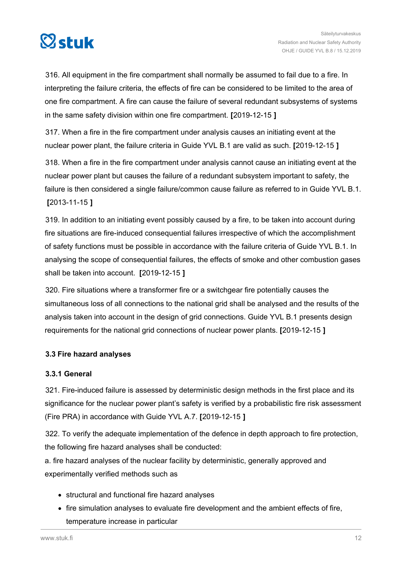<span id="page-11-0"></span>

316. All equipment in the fire compartment shall normally be assumed to fail due to a fire. In interpreting the failure criteria, the effects of fire can be considered to be limited to the area of one fire compartment. A fire can cause the failure of several redundant subsystems of systems in the same safety division within one fire compartment. **[**2019-12-15 **]**

317. When a fire in the fire compartment under analysis causes an initiating event at the nuclear power plant, the failure criteria in Guide YVL B.1 are valid as such. **[**2019-12-15 **]**

318. When a fire in the fire compartment under analysis cannot cause an initiating event at the nuclear power plant but causes the failure of a redundant subsystem important to safety, the failure is then considered a single failure/common cause failure as referred to in Guide YVL B.1. **[**2013-11-15 **]**

319. In addition to an initiating event possibly caused by a fire, to be taken into account during fire situations are fire-induced consequential failures irrespective of which the accomplishment of safety functions must be possible in accordance with the failure criteria of Guide YVL B.1. In analysing the scope of consequential failures, the effects of smoke and other combustion gases shall be taken into account. **[**2019-12-15 **]**

320. Fire situations where a transformer fire or a switchgear fire potentially causes the simultaneous loss of all connections to the national grid shall be analysed and the results of the analysis taken into account in the design of grid connections. Guide YVL B.1 presents design requirements for the national grid connections of nuclear power plants. **[**2019-12-15 **]**

#### **3.3 Fire hazard analyses**

#### **3.3.1 General**

321. Fire-induced failure is assessed by deterministic design methods in the first place and its significance for the nuclear power plant's safety is verified by a probabilistic fire risk assessment (Fire PRA) in accordance with Guide YVL A.7. **[**2019-12-15 **]**

322. To verify the adequate implementation of the defence in depth approach to fire protection, the following fire hazard analyses shall be conducted:

a. fire hazard analyses of the nuclear facility by deterministic, generally approved and experimentally verified methods such as

- structural and functional fire hazard analyses
- fire simulation analyses to evaluate fire development and the ambient effects of fire, temperature increase in particular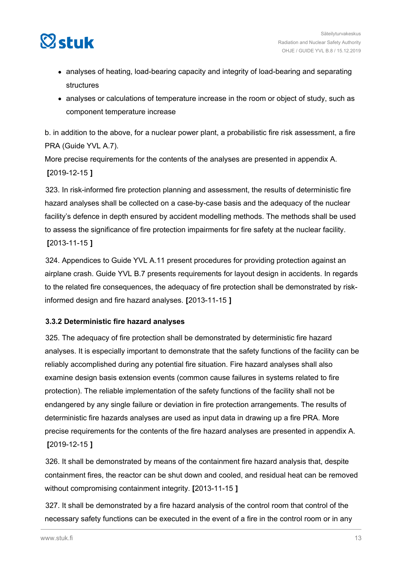<span id="page-12-0"></span>

- analyses of heating, load-bearing capacity and integrity of load-bearing and separating structures
- analyses or calculations of temperature increase in the room or object of study, such as component temperature increase

b. in addition to the above, for a nuclear power plant, a probabilistic fire risk assessment, a fire PRA (Guide YVL A.7).

More precise requirements for the contents of the analyses are presented in appendix A. **[**2019-12-15 **]**

323. In risk-informed fire protection planning and assessment, the results of deterministic fire hazard analyses shall be collected on a case-by-case basis and the adequacy of the nuclear facility's defence in depth ensured by accident modelling methods. The methods shall be used to assess the significance of fire protection impairments for fire safety at the nuclear facility. **[**2013-11-15 **]**

324. Appendices to Guide YVL A.11 present procedures for providing protection against an airplane crash. Guide YVL B.7 presents requirements for layout design in accidents. In regards to the related fire consequences, the adequacy of fire protection shall be demonstrated by riskinformed design and fire hazard analyses. **[**2013-11-15 **]**

#### **3.3.2 Deterministic fire hazard analyses**

325. The adequacy of fire protection shall be demonstrated by deterministic fire hazard analyses. It is especially important to demonstrate that the safety functions of the facility can be reliably accomplished during any potential fire situation. Fire hazard analyses shall also examine design basis extension events (common cause failures in systems related to fire protection). The reliable implementation of the safety functions of the facility shall not be endangered by any single failure or deviation in fire protection arrangements. The results of deterministic fire hazards analyses are used as input data in drawing up a fire PRA. More precise requirements for the contents of the fire hazard analyses are presented in appendix A. **[**2019-12-15 **]**

326. It shall be demonstrated by means of the containment fire hazard analysis that, despite containment fires, the reactor can be shut down and cooled, and residual heat can be removed without compromising containment integrity. **[**2013-11-15 **]**

327. It shall be demonstrated by a fire hazard analysis of the control room that control of the necessary safety functions can be executed in the event of a fire in the control room or in any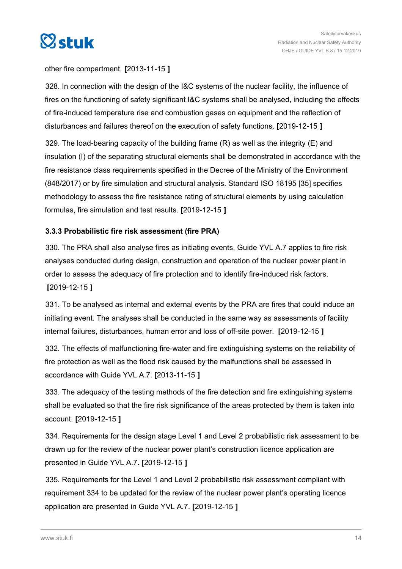<span id="page-13-0"></span>

#### other fire compartment. **[**2013-11-15 **]**

328. In connection with the design of the I&C systems of the nuclear facility, the influence of fires on the functioning of safety significant I&C systems shall be analysed, including the effects of fire-induced temperature rise and combustion gases on equipment and the reflection of disturbances and failures thereof on the execution of safety functions. **[**2019-12-15 **]**

329. The load-bearing capacity of the building frame (R) as well as the integrity (E) and insulation (I) of the separating structural elements shall be demonstrated in accordance with the fire resistance class requirements specified in the Decree of the Ministry of the Environment (848/2017) or by fire simulation and structural analysis. Standard ISO 18195 [35] specifies methodology to assess the fire resistance rating of structural elements by using calculation formulas, fire simulation and test results. **[**2019-12-15 **]**

#### **3.3.3 Probabilistic fire risk assessment (fire PRA)**

330. The PRA shall also analyse fires as initiating events. Guide YVL A.7 applies to fire risk analyses conducted during design, construction and operation of the nuclear power plant in order to assess the adequacy of fire protection and to identify fire-induced risk factors. **[**2019-12-15 **]**

331. To be analysed as internal and external events by the PRA are fires that could induce an initiating event. The analyses shall be conducted in the same way as assessments of facility internal failures, disturbances, human error and loss of off-site power. **[**2019-12-15 **]**

332. The effects of malfunctioning fire-water and fire extinguishing systems on the reliability of fire protection as well as the flood risk caused by the malfunctions shall be assessed in accordance with Guide YVL A.7. **[**2013-11-15 **]**

333. The adequacy of the testing methods of the fire detection and fire extinguishing systems shall be evaluated so that the fire risk significance of the areas protected by them is taken into account. **[**2019-12-15 **]**

334. Requirements for the design stage Level 1 and Level 2 probabilistic risk assessment to be drawn up for the review of the nuclear power plant's construction licence application are presented in Guide YVL A.7. **[**2019-12-15 **]**

335. Requirements for the Level 1 and Level 2 probabilistic risk assessment compliant with requirement 334 to be updated for the review of the nuclear power plant's operating licence application are presented in Guide YVL A.7. **[**2019-12-15 **]**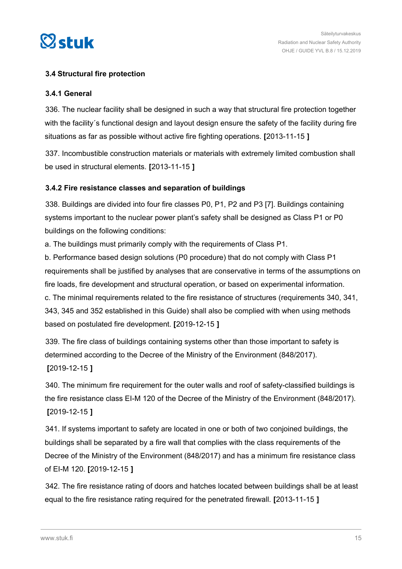<span id="page-14-0"></span>

#### **3.4 Structural fire protection**

#### **3.4.1 General**

336. The nuclear facility shall be designed in such a way that structural fire protection together with the facility's functional design and layout design ensure the safety of the facility during fire situations as far as possible without active fire fighting operations. **[**2013-11-15 **]**

337. Incombustible construction materials or materials with extremely limited combustion shall be used in structural elements. **[**2013-11-15 **]**

#### **3.4.2 Fire resistance classes and separation of buildings**

338. Buildings are divided into four fire classes P0, P1, P2 and P3 [7]. Buildings containing systems important to the nuclear power plant's safety shall be designed as Class P1 or P0 buildings on the following conditions:

a. The buildings must primarily comply with the requirements of Class P1.

b. Performance based design solutions (P0 procedure) that do not comply with Class P1 requirements shall be justified by analyses that are conservative in terms of the assumptions on fire loads, fire development and structural operation, or based on experimental information. c. The minimal requirements related to the fire resistance of structures (requirements 340, 341, 343, 345 and 352 established in this Guide) shall also be complied with when using methods based on postulated fire development. **[**2019-12-15 **]**

339. The fire class of buildings containing systems other than those important to safety is determined according to the Decree of the Ministry of the Environment (848/2017).

**[**2019-12-15 **]**

340. The minimum fire requirement for the outer walls and roof of safety-classified buildings is the fire resistance class EI-M 120 of the Decree of the Ministry of the Environment (848/2017). **[**2019-12-15 **]**

341. If systems important to safety are located in one or both of two conjoined buildings, the buildings shall be separated by a fire wall that complies with the class requirements of the Decree of the Ministry of the Environment (848/2017) and has a minimum fire resistance class of EI-M 120. **[**2019-12-15 **]**

342. The fire resistance rating of doors and hatches located between buildings shall be at least equal to the fire resistance rating required for the penetrated firewall. **[**2013-11-15 **]**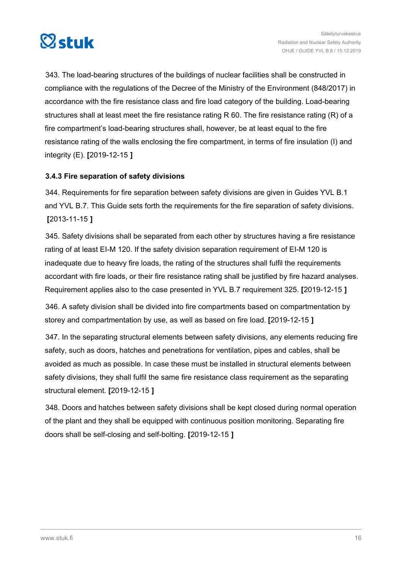<span id="page-15-0"></span>

343. The load-bearing structures of the buildings of nuclear facilities shall be constructed in compliance with the regulations of the Decree of the Ministry of the Environment (848/2017) in accordance with the fire resistance class and fire load category of the building. Load-bearing structures shall at least meet the fire resistance rating R 60. The fire resistance rating (R) of a fire compartment's load-bearing structures shall, however, be at least equal to the fire resistance rating of the walls enclosing the fire compartment, in terms of fire insulation (I) and integrity (E). **[**2019-12-15 **]**

#### **3.4.3 Fire separation of safety divisions**

344. Requirements for fire separation between safety divisions are given in Guides YVL B.1 and YVL B.7. This Guide sets forth the requirements for the fire separation of safety divisions. **[**2013-11-15 **]**

345. Safety divisions shall be separated from each other by structures having a fire resistance rating of at least EI-M 120. If the safety division separation requirement of EI-M 120 is inadequate due to heavy fire loads, the rating of the structures shall fulfil the requirements accordant with fire loads, or their fire resistance rating shall be justified by fire hazard analyses. Requirement applies also to the case presented in YVL B.7 requirement 325. **[**2019-12-15 **]**

346. A safety division shall be divided into fire compartments based on compartmentation by storey and compartmentation by use, as well as based on fire load. **[**2019-12-15 **]**

347. In the separating structural elements between safety divisions, any elements reducing fire safety, such as doors, hatches and penetrations for ventilation, pipes and cables, shall be avoided as much as possible. In case these must be installed in structural elements between safety divisions, they shall fulfil the same fire resistance class requirement as the separating structural element. **[**2019-12-15 **]**

348. Doors and hatches between safety divisions shall be kept closed during normal operation of the plant and they shall be equipped with continuous position monitoring. Separating fire doors shall be self-closing and self-bolting. **[**2019-12-15 **]**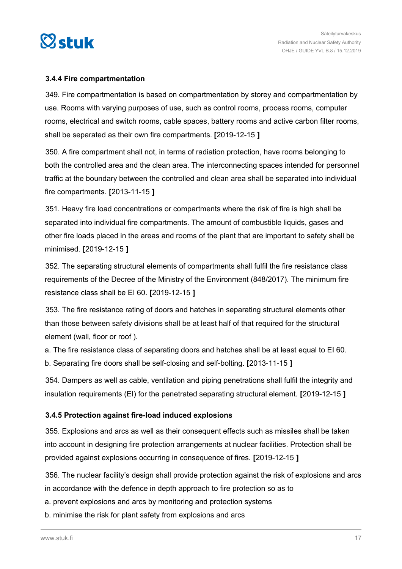<span id="page-16-0"></span>

#### **3.4.4 Fire compartmentation**

349. Fire compartmentation is based on compartmentation by storey and compartmentation by use. Rooms with varying purposes of use, such as control rooms, process rooms, computer rooms, electrical and switch rooms, cable spaces, battery rooms and active carbon filter rooms, shall be separated as their own fire compartments. **[**2019-12-15 **]**

350. A fire compartment shall not, in terms of radiation protection, have rooms belonging to both the controlled area and the clean area. The interconnecting spaces intended for personnel traffic at the boundary between the controlled and clean area shall be separated into individual fire compartments. **[**2013-11-15 **]**

351. Heavy fire load concentrations or compartments where the risk of fire is high shall be separated into individual fire compartments. The amount of combustible liquids, gases and other fire loads placed in the areas and rooms of the plant that are important to safety shall be minimised. **[**2019-12-15 **]**

352. The separating structural elements of compartments shall fulfil the fire resistance class requirements of the Decree of the Ministry of the Environment (848/2017). The minimum fire resistance class shall be EI 60. **[**2019-12-15 **]**

353. The fire resistance rating of doors and hatches in separating structural elements other than those between safety divisions shall be at least half of that required for the structural element (wall, floor or roof ).

a. The fire resistance class of separating doors and hatches shall be at least equal to EI 60. b. Separating fire doors shall be self-closing and self-bolting. **[**2013-11-15 **]**

354. Dampers as well as cable, ventilation and piping penetrations shall fulfil the integrity and insulation requirements (EI) for the penetrated separating structural element. **[**2019-12-15 **]**

#### **3.4.5 Protection against fire-load induced explosions**

355. Explosions and arcs as well as their consequent effects such as missiles shall be taken into account in designing fire protection arrangements at nuclear facilities. Protection shall be provided against explosions occurring in consequence of fires. **[**2019-12-15 **]**

356. The nuclear facility's design shall provide protection against the risk of explosions and arcs in accordance with the defence in depth approach to fire protection so as to

a. prevent explosions and arcs by monitoring and protection systems

b. minimise the risk for plant safety from explosions and arcs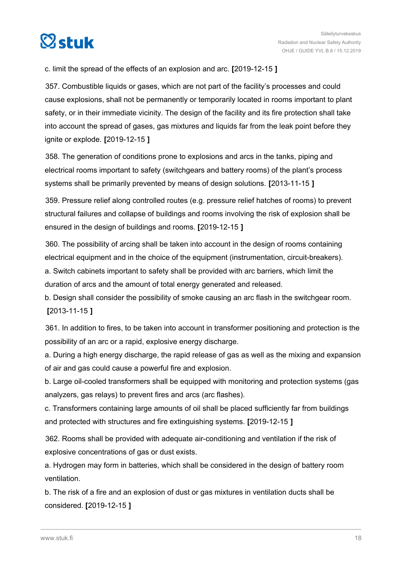

c. limit the spread of the effects of an explosion and arc. **[**2019-12-15 **]**

357. Combustible liquids or gases, which are not part of the facility's processes and could cause explosions, shall not be permanently or temporarily located in rooms important to plant safety, or in their immediate vicinity. The design of the facility and its fire protection shall take into account the spread of gases, gas mixtures and liquids far from the leak point before they ignite or explode. **[**2019-12-15 **]**

358. The generation of conditions prone to explosions and arcs in the tanks, piping and electrical rooms important to safety (switchgears and battery rooms) of the plant's process systems shall be primarily prevented by means of design solutions. **[**2013-11-15 **]**

359. Pressure relief along controlled routes (e.g. pressure relief hatches of rooms) to prevent structural failures and collapse of buildings and rooms involving the risk of explosion shall be ensured in the design of buildings and rooms. **[**2019-12-15 **]**

360. The possibility of arcing shall be taken into account in the design of rooms containing electrical equipment and in the choice of the equipment (instrumentation, circuit-breakers). a. Switch cabinets important to safety shall be provided with arc barriers, which limit the duration of arcs and the amount of total energy generated and released.

b. Design shall consider the possibility of smoke causing an arc flash in the switchgear room. **[**2013-11-15 **]**

361. In addition to fires, to be taken into account in transformer positioning and protection is the possibility of an arc or a rapid, explosive energy discharge.

a. During a high energy discharge, the rapid release of gas as well as the mixing and expansion of air and gas could cause a powerful fire and explosion.

b. Large oil-cooled transformers shall be equipped with monitoring and protection systems (gas analyzers, gas relays) to prevent fires and arcs (arc flashes).

c. Transformers containing large amounts of oil shall be placed sufficiently far from buildings and protected with structures and fire extinguishing systems. **[**2019-12-15 **]**

362. Rooms shall be provided with adequate air-conditioning and ventilation if the risk of explosive concentrations of gas or dust exists.

a. Hydrogen may form in batteries, which shall be considered in the design of battery room ventilation.

b. The risk of a fire and an explosion of dust or gas mixtures in ventilation ducts shall be considered. **[**2019-12-15 **]**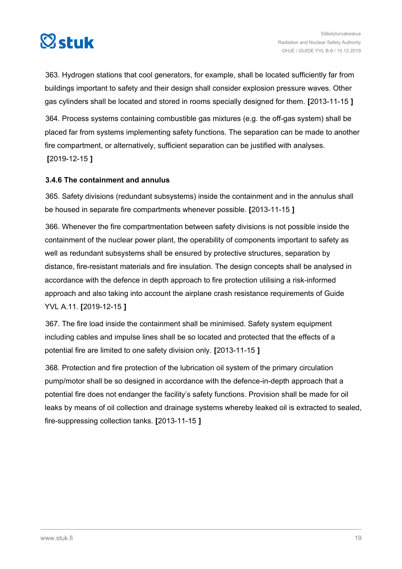<span id="page-18-0"></span>

363. Hydrogen stations that cool generators, for example, shall be located sufficiently far from buildings important to safety and their design shall consider explosion pressure waves. Other gas cylinders shall be located and stored in rooms specially designed for them. **[**2013-11-15 **]**

364. Process systems containing combustible gas mixtures (e.g. the off-gas system) shall be placed far from systems implementing safety functions. The separation can be made to another fire compartment, or alternatively, sufficient separation can be justified with analyses. **[**2019-12-15 **]**

#### **3.4.6 The containment and annulus**

365. Safety divisions (redundant subsystems) inside the containment and in the annulus shall be housed in separate fire compartments whenever possible. **[**2013-11-15 **]**

366. Whenever the fire compartmentation between safety divisions is not possible inside the containment of the nuclear power plant, the operability of components important to safety as well as redundant subsystems shall be ensured by protective structures, separation by distance, fire-resistant materials and fire insulation. The design concepts shall be analysed in accordance with the defence in depth approach to fire protection utilising a risk-informed approach and also taking into account the airplane crash resistance requirements of Guide YVL A.11. **[**2019-12-15 **]**

367. The fire load inside the containment shall be minimised. Safety system equipment including cables and impulse lines shall be so located and protected that the effects of a potential fire are limited to one safety division only. **[**2013-11-15 **]**

368. Protection and fire protection of the lubrication oil system of the primary circulation pump/motor shall be so designed in accordance with the defence-in-depth approach that a potential fire does not endanger the facility's safety functions. Provision shall be made for oil leaks by means of oil collection and drainage systems whereby leaked oil is extracted to sealed, fire-suppressing collection tanks. **[**2013-11-15 **]**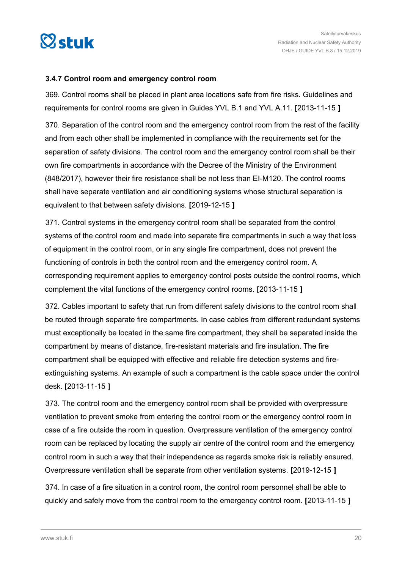<span id="page-19-0"></span>

#### **3.4.7 Control room and emergency control room**

369. Control rooms shall be placed in plant area locations safe from fire risks. Guidelines and requirements for control rooms are given in Guides YVL B.1 and YVL A.11. **[**2013-11-15 **]**

370. Separation of the control room and the emergency control room from the rest of the facility and from each other shall be implemented in compliance with the requirements set for the separation of safety divisions. The control room and the emergency control room shall be their own fire compartments in accordance with the Decree of the Ministry of the Environment (848/2017), however their fire resistance shall be not less than EI-M120. The control rooms shall have separate ventilation and air conditioning systems whose structural separation is equivalent to that between safety divisions. **[**2019-12-15 **]**

371. Control systems in the emergency control room shall be separated from the control systems of the control room and made into separate fire compartments in such a way that loss of equipment in the control room, or in any single fire compartment, does not prevent the functioning of controls in both the control room and the emergency control room. A corresponding requirement applies to emergency control posts outside the control rooms, which complement the vital functions of the emergency control rooms. **[**2013-11-15 **]**

372. Cables important to safety that run from different safety divisions to the control room shall be routed through separate fire compartments. In case cables from different redundant systems must exceptionally be located in the same fire compartment, they shall be separated inside the compartment by means of distance, fire-resistant materials and fire insulation. The fire compartment shall be equipped with effective and reliable fire detection systems and fireextinguishing systems. An example of such a compartment is the cable space under the control desk. **[**2013-11-15 **]**

373. The control room and the emergency control room shall be provided with overpressure ventilation to prevent smoke from entering the control room or the emergency control room in case of a fire outside the room in question. Overpressure ventilation of the emergency control room can be replaced by locating the supply air centre of the control room and the emergency control room in such a way that their independence as regards smoke risk is reliably ensured. Overpressure ventilation shall be separate from other ventilation systems. **[**2019-12-15 **]**

374. In case of a fire situation in a control room, the control room personnel shall be able to quickly and safely move from the control room to the emergency control room. **[**2013-11-15 **]**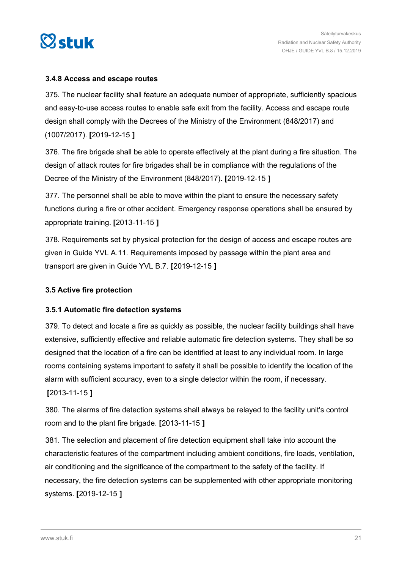<span id="page-20-0"></span>

#### **3.4.8 Access and escape routes**

375. The nuclear facility shall feature an adequate number of appropriate, sufficiently spacious and easy-to-use access routes to enable safe exit from the facility. Access and escape route design shall comply with the Decrees of the Ministry of the Environment (848/2017) and (1007/2017). **[**2019-12-15 **]**

376. The fire brigade shall be able to operate effectively at the plant during a fire situation. The design of attack routes for fire brigades shall be in compliance with the regulations of the Decree of the Ministry of the Environment (848/2017). **[**2019-12-15 **]**

377. The personnel shall be able to move within the plant to ensure the necessary safety functions during a fire or other accident. Emergency response operations shall be ensured by appropriate training. **[**2013-11-15 **]**

378. Requirements set by physical protection for the design of access and escape routes are given in Guide YVL A.11. Requirements imposed by passage within the plant area and transport are given in Guide YVL B.7. **[**2019-12-15 **]**

#### **3.5 Active fire protection**

#### **3.5.1 Automatic fire detection systems**

379. To detect and locate a fire as quickly as possible, the nuclear facility buildings shall have extensive, sufficiently effective and reliable automatic fire detection systems. They shall be so designed that the location of a fire can be identified at least to any individual room. In large rooms containing systems important to safety it shall be possible to identify the location of the alarm with sufficient accuracy, even to a single detector within the room, if necessary. **[**2013-11-15 **]**

380. The alarms of fire detection systems shall always be relayed to the facility unit's control room and to the plant fire brigade. **[**2013-11-15 **]**

381. The selection and placement of fire detection equipment shall take into account the characteristic features of the compartment including ambient conditions, fire loads, ventilation, air conditioning and the significance of the compartment to the safety of the facility. If necessary, the fire detection systems can be supplemented with other appropriate monitoring systems. **[**2019-12-15 **]**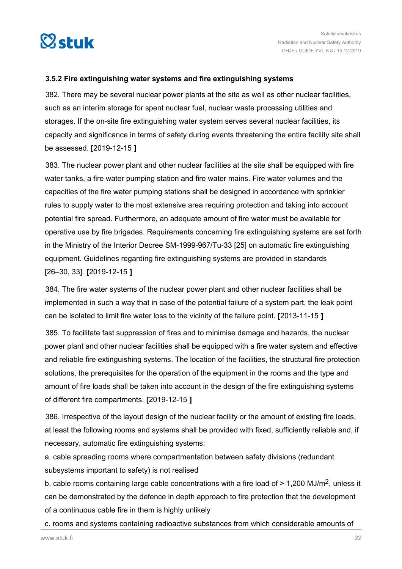<span id="page-21-0"></span>

#### **3.5.2 Fire extinguishing water systems and fire extinguishing systems**

382. There may be several nuclear power plants at the site as well as other nuclear facilities, such as an interim storage for spent nuclear fuel, nuclear waste processing utilities and storages. If the on-site fire extinguishing water system serves several nuclear facilities, its capacity and significance in terms of safety during events threatening the entire facility site shall be assessed. **[**2019-12-15 **]**

383. The nuclear power plant and other nuclear facilities at the site shall be equipped with fire water tanks, a fire water pumping station and fire water mains. Fire water volumes and the capacities of the fire water pumping stations shall be designed in accordance with sprinkler rules to supply water to the most extensive area requiring protection and taking into account potential fire spread. Furthermore, an adequate amount of fire water must be available for operative use by fire brigades. Requirements concerning fire extinguishing systems are set forth in the Ministry of the Interior Decree SM-1999-967/Tu-33 [25] on automatic fire extinguishing equipment. Guidelines regarding fire extinguishing systems are provided in standards [26–30, 33]. **[**2019-12-15 **]**

384. The fire water systems of the nuclear power plant and other nuclear facilities shall be implemented in such a way that in case of the potential failure of a system part, the leak point can be isolated to limit fire water loss to the vicinity of the failure point. **[**2013-11-15 **]**

385. To facilitate fast suppression of fires and to minimise damage and hazards, the nuclear power plant and other nuclear facilities shall be equipped with a fire water system and effective and reliable fire extinguishing systems. The location of the facilities, the structural fire protection solutions, the prerequisites for the operation of the equipment in the rooms and the type and amount of fire loads shall be taken into account in the design of the fire extinguishing systems of different fire compartments. **[**2019-12-15 **]**

386. Irrespective of the layout design of the nuclear facility or the amount of existing fire loads, at least the following rooms and systems shall be provided with fixed, sufficiently reliable and, if necessary, automatic fire extinguishing systems:

a. cable spreading rooms where compartmentation between safety divisions (redundant subsystems important to safety) is not realised

b. cable rooms containing large cable concentrations with a fire load of  $> 1,200$  MJ/m<sup>2</sup>, unless it can be demonstrated by the defence in depth approach to fire protection that the development of a continuous cable fire in them is highly unlikely

c. rooms and systems containing radioactive substances from which considerable amounts of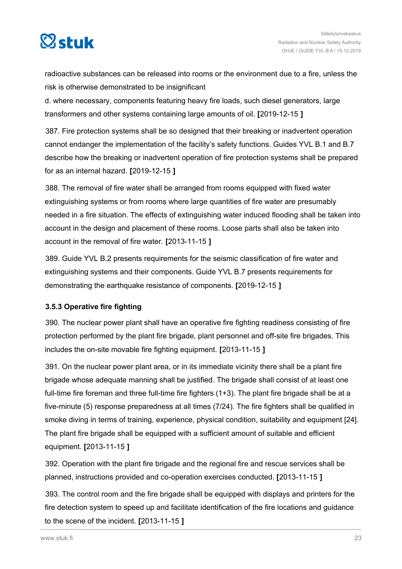<span id="page-22-0"></span>

radioactive substances can be released into rooms or the environment due to a fire, unless the risk is otherwise demonstrated to be insignificant

d. where necessary, components featuring heavy fire loads, such diesel generators, large transformers and other systems containing large amounts of oil. **[**2019-12-15 **]**

387. Fire protection systems shall be so designed that their breaking or inadvertent operation cannot endanger the implementation of the facility's safety functions. Guides YVL B.1 and B.7 describe how the breaking or inadvertent operation of fire protection systems shall be prepared for as an internal hazard. **[**2019-12-15 **]**

388. The removal of fire water shall be arranged from rooms equipped with fixed water extinguishing systems or from rooms where large quantities of fire water are presumably needed in a fire situation. The effects of extinguishing water induced flooding shall be taken into account in the design and placement of these rooms. Loose parts shall also be taken into account in the removal of fire water. **[**2013-11-15 **]**

389. Guide YVL B.2 presents requirements for the seismic classification of fire water and extinguishing systems and their components. Guide YVL B.7 presents requirements for demonstrating the earthquake resistance of components. **[**2019-12-15 **]**

#### **3.5.3 Operative fire fighting**

390. The nuclear power plant shall have an operative fire fighting readiness consisting of fire protection performed by the plant fire brigade, plant personnel and off-site fire brigades. This includes the on-site movable fire fighting equipment. **[**2013-11-15 **]**

391. On the nuclear power plant area, or in its immediate vicinity there shall be a plant fire brigade whose adequate manning shall be justified. The brigade shall consist of at least one full-time fire foreman and three full-time fire fighters (1+3). The plant fire brigade shall be at a five-minute (5) response preparedness at all times (7/24). The fire fighters shall be qualified in smoke diving in terms of training, experience, physical condition, suitability and equipment [24]. The plant fire brigade shall be equipped with a sufficient amount of suitable and efficient equipment. **[**2013-11-15 **]**

392. Operation with the plant fire brigade and the regional fire and rescue services shall be planned, instructions provided and co-operation exercises conducted. **[**2013-11-15 **]**

393. The control room and the fire brigade shall be equipped with displays and printers for the fire detection system to speed up and facilitate identification of the fire locations and guidance to the scene of the incident. **[**2013-11-15 **]**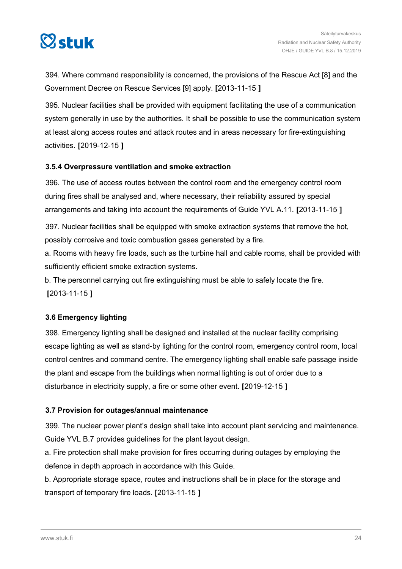<span id="page-23-0"></span>

394. Where command responsibility is concerned, the provisions of the Rescue Act [8] and the Government Decree on Rescue Services [9] apply. **[**2013-11-15 **]**

395. Nuclear facilities shall be provided with equipment facilitating the use of a communication system generally in use by the authorities. It shall be possible to use the communication system at least along access routes and attack routes and in areas necessary for fire-extinguishing activities. **[**2019-12-15 **]**

#### **3.5.4 Overpressure ventilation and smoke extraction**

396. The use of access routes between the control room and the emergency control room during fires shall be analysed and, where necessary, their reliability assured by special arrangements and taking into account the requirements of Guide YVL A.11. **[**2013-11-15 **]**

397. Nuclear facilities shall be equipped with smoke extraction systems that remove the hot, possibly corrosive and toxic combustion gases generated by a fire.

a. Rooms with heavy fire loads, such as the turbine hall and cable rooms, shall be provided with sufficiently efficient smoke extraction systems.

b. The personnel carrying out fire extinguishing must be able to safely locate the fire. **[**2013-11-15 **]**

#### **3.6 Emergency lighting**

398. Emergency lighting shall be designed and installed at the nuclear facility comprising escape lighting as well as stand-by lighting for the control room, emergency control room, local control centres and command centre. The emergency lighting shall enable safe passage inside the plant and escape from the buildings when normal lighting is out of order due to a disturbance in electricity supply, a fire or some other event. **[**2019-12-15 **]**

#### **3.7 Provision for outages/annual maintenance**

399. The nuclear power plant's design shall take into account plant servicing and maintenance. Guide YVL B.7 provides guidelines for the plant layout design.

a. Fire protection shall make provision for fires occurring during outages by employing the defence in depth approach in accordance with this Guide.

b. Appropriate storage space, routes and instructions shall be in place for the storage and transport of temporary fire loads. **[**2013-11-15 **]**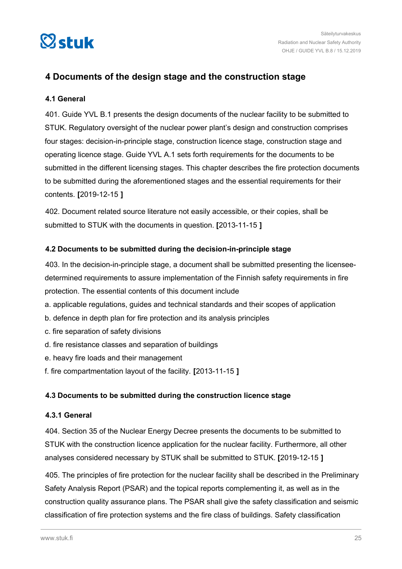<span id="page-24-0"></span>

## **4 Documents of the design stage and the construction stage**

#### **4.1 General**

401. Guide YVL B.1 presents the design documents of the nuclear facility to be submitted to STUK. Regulatory oversight of the nuclear power plant's design and construction comprises four stages: decision-in-principle stage, construction licence stage, construction stage and operating licence stage. Guide YVL A.1 sets forth requirements for the documents to be submitted in the different licensing stages. This chapter describes the fire protection documents to be submitted during the aforementioned stages and the essential requirements for their contents. **[**2019-12-15 **]**

402. Document related source literature not easily accessible, or their copies, shall be submitted to STUK with the documents in question. **[**2013-11-15 **]**

#### **4.2 Documents to be submitted during the decision-in-principle stage**

403. In the decision-in-principle stage, a document shall be submitted presenting the licenseedetermined requirements to assure implementation of the Finnish safety requirements in fire protection. The essential contents of this document include

- a. applicable regulations, guides and technical standards and their scopes of application
- b. defence in depth plan for fire protection and its analysis principles
- c. fire separation of safety divisions
- d. fire resistance classes and separation of buildings
- e. heavy fire loads and their management
- f. fire compartmentation layout of the facility. **[**2013-11-15 **]**

#### **4.3 Documents to be submitted during the construction licence stage**

#### **4.3.1 General**

404. Section 35 of the Nuclear Energy Decree presents the documents to be submitted to STUK with the construction licence application for the nuclear facility. Furthermore, all other analyses considered necessary by STUK shall be submitted to STUK. **[**2019-12-15 **]**

405. The principles of fire protection for the nuclear facility shall be described in the Preliminary Safety Analysis Report (PSAR) and the topical reports complementing it, as well as in the construction quality assurance plans. The PSAR shall give the safety classification and seismic classification of fire protection systems and the fire class of buildings. Safety classification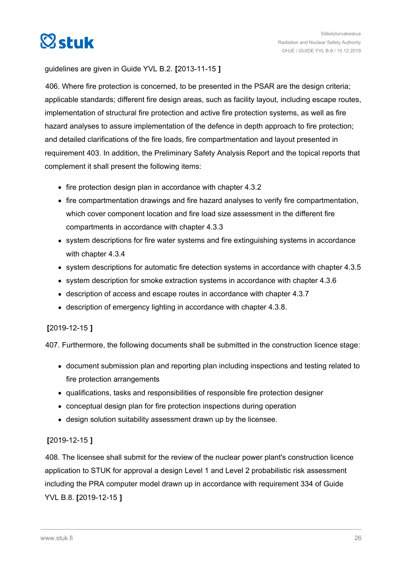

guidelines are given in Guide YVL B.2. **[**2013-11-15 **]**

406. Where fire protection is concerned, to be presented in the PSAR are the design criteria; applicable standards; different fire design areas, such as facility layout, including escape routes, implementation of structural fire protection and active fire protection systems, as well as fire hazard analyses to assure implementation of the defence in depth approach to fire protection; and detailed clarifications of the fire loads, fire compartmentation and layout presented in requirement 403. In addition, the Preliminary Safety Analysis Report and the topical reports that complement it shall present the following items:

- fire protection design plan in accordance with chapter 4.3.2
- fire compartmentation drawings and fire hazard analyses to verify fire compartmentation, which cover component location and fire load size assessment in the different fire compartments in accordance with chapter 4.3.3
- system descriptions for fire water systems and fire extinguishing systems in accordance with chapter 4.3.4
- system descriptions for automatic fire detection systems in accordance with chapter 4.3.5
- system description for smoke extraction systems in accordance with chapter 4.3.6
- description of access and escape routes in accordance with chapter 4.3.7
- description of emergency lighting in accordance with chapter 4.3.8.

#### **[**2019-12-15 **]**

407. Furthermore, the following documents shall be submitted in the construction licence stage:

- document submission plan and reporting plan including inspections and testing related to fire protection arrangements
- qualifications, tasks and responsibilities of responsible fire protection designer
- conceptual design plan for fire protection inspections during operation
- design solution suitability assessment drawn up by the licensee.

#### **[**2019-12-15 **]**

408. The licensee shall submit for the review of the nuclear power plant's construction licence application to STUK for approval a design Level 1 and Level 2 probabilistic risk assessment including the PRA computer model drawn up in accordance with requirement 334 of Guide YVL B.8. **[**2019-12-15 **]**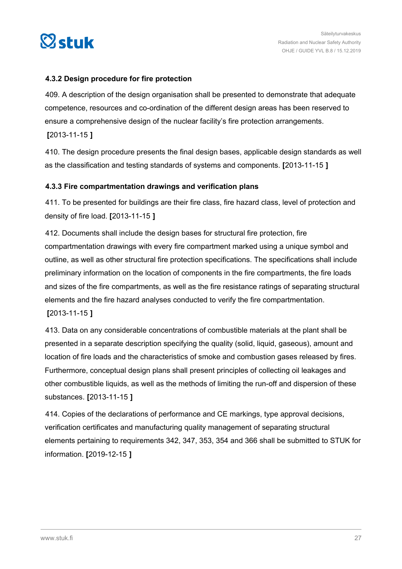<span id="page-26-0"></span>

#### **4.3.2 Design procedure for fire protection**

409. A description of the design organisation shall be presented to demonstrate that adequate competence, resources and co-ordination of the different design areas has been reserved to ensure a comprehensive design of the nuclear facility's fire protection arrangements.

**[**2013-11-15 **]**

410. The design procedure presents the final design bases, applicable design standards as well as the classification and testing standards of systems and components. **[**2013-11-15 **]**

#### **4.3.3 Fire compartmentation drawings and verification plans**

411. To be presented for buildings are their fire class, fire hazard class, level of protection and density of fire load. **[**2013-11-15 **]**

412. Documents shall include the design bases for structural fire protection, fire compartmentation drawings with every fire compartment marked using a unique symbol and outline, as well as other structural fire protection specifications. The specifications shall include preliminary information on the location of components in the fire compartments, the fire loads and sizes of the fire compartments, as well as the fire resistance ratings of separating structural elements and the fire hazard analyses conducted to verify the fire compartmentation. **[**2013-11-15 **]**

413. Data on any considerable concentrations of combustible materials at the plant shall be presented in a separate description specifying the quality (solid, liquid, gaseous), amount and location of fire loads and the characteristics of smoke and combustion gases released by fires. Furthermore, conceptual design plans shall present principles of collecting oil leakages and other combustible liquids, as well as the methods of limiting the run-off and dispersion of these substances. **[**2013-11-15 **]**

414. Copies of the declarations of performance and CE markings, type approval decisions, verification certificates and manufacturing quality management of separating structural elements pertaining to requirements 342, 347, 353, 354 and 366 shall be submitted to STUK for information. **[**2019-12-15 **]**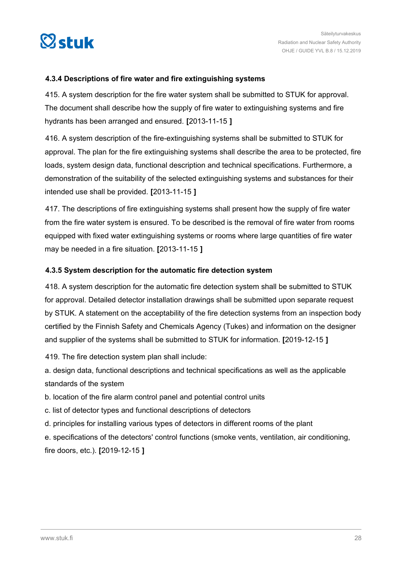<span id="page-27-0"></span>

#### **4.3.4 Descriptions of fire water and fire extinguishing systems**

415. A system description for the fire water system shall be submitted to STUK for approval. The document shall describe how the supply of fire water to extinguishing systems and fire hydrants has been arranged and ensured. **[**2013-11-15 **]**

416. A system description of the fire-extinguishing systems shall be submitted to STUK for approval. The plan for the fire extinguishing systems shall describe the area to be protected, fire loads, system design data, functional description and technical specifications. Furthermore, a demonstration of the suitability of the selected extinguishing systems and substances for their intended use shall be provided. **[**2013-11-15 **]**

417. The descriptions of fire extinguishing systems shall present how the supply of fire water from the fire water system is ensured. To be described is the removal of fire water from rooms equipped with fixed water extinguishing systems or rooms where large quantities of fire water may be needed in a fire situation. **[**2013-11-15 **]**

#### **4.3.5 System description for the automatic fire detection system**

418. A system description for the automatic fire detection system shall be submitted to STUK for approval. Detailed detector installation drawings shall be submitted upon separate request by STUK. A statement on the acceptability of the fire detection systems from an inspection body certified by the Finnish Safety and Chemicals Agency (Tukes) and information on the designer and supplier of the systems shall be submitted to STUK for information. **[**2019-12-15 **]**

419. The fire detection system plan shall include:

a. design data, functional descriptions and technical specifications as well as the applicable standards of the system

b. location of the fire alarm control panel and potential control units

c. list of detector types and functional descriptions of detectors

d. principles for installing various types of detectors in different rooms of the plant

e. specifications of the detectors' control functions (smoke vents, ventilation, air conditioning, fire doors, etc.). **[**2019-12-15 **]**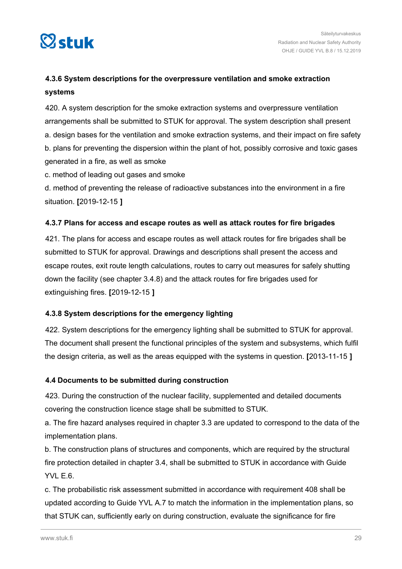<span id="page-28-0"></span>

## **4.3.6 System descriptions for the overpressure ventilation and smoke extraction systems**

420. A system description for the smoke extraction systems and overpressure ventilation arrangements shall be submitted to STUK for approval. The system description shall present a. design bases for the ventilation and smoke extraction systems, and their impact on fire safety b. plans for preventing the dispersion within the plant of hot, possibly corrosive and toxic gases generated in a fire, as well as smoke

c. method of leading out gases and smoke

d. method of preventing the release of radioactive substances into the environment in a fire situation. **[**2019-12-15 **]**

#### **4.3.7 Plans for access and escape routes as well as attack routes for fire brigades**

421. The plans for access and escape routes as well attack routes for fire brigades shall be submitted to STUK for approval. Drawings and descriptions shall present the access and escape routes, exit route length calculations, routes to carry out measures for safely shutting down the facility (see chapter 3.4.8) and the attack routes for fire brigades used for extinguishing fires. **[**2019-12-15 **]**

#### **4.3.8 System descriptions for the emergency lighting**

422. System descriptions for the emergency lighting shall be submitted to STUK for approval. The document shall present the functional principles of the system and subsystems, which fulfil the design criteria, as well as the areas equipped with the systems in question. **[**2013-11-15 **]**

#### **4.4 Documents to be submitted during construction**

423. During the construction of the nuclear facility, supplemented and detailed documents covering the construction licence stage shall be submitted to STUK.

a. The fire hazard analyses required in chapter 3.3 are updated to correspond to the data of the implementation plans.

b. The construction plans of structures and components, which are required by the structural fire protection detailed in chapter 3.4, shall be submitted to STUK in accordance with Guide YVL E.6.

c. The probabilistic risk assessment submitted in accordance with requirement 408 shall be updated according to Guide YVL A.7 to match the information in the implementation plans, so that STUK can, sufficiently early on during construction, evaluate the significance for fire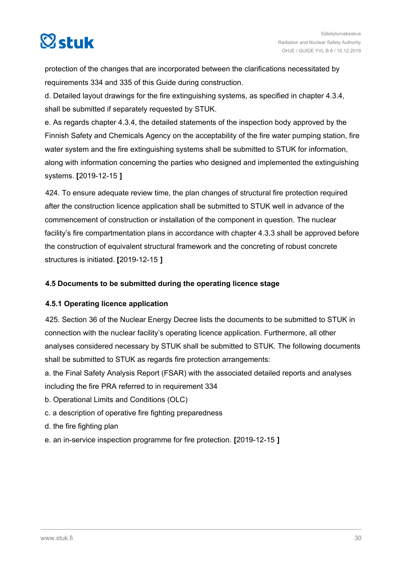<span id="page-29-0"></span>

protection of the changes that are incorporated between the clarifications necessitated by requirements 334 and 335 of this Guide during construction.

d. Detailed layout drawings for the fire extinguishing systems, as specified in chapter 4.3.4, shall be submitted if separately requested by STUK.

e. As regards chapter 4.3.4, the detailed statements of the inspection body approved by the Finnish Safety and Chemicals Agency on the acceptability of the fire water pumping station, fire water system and the fire extinguishing systems shall be submitted to STUK for information, along with information concerning the parties who designed and implemented the extinguishing systems. **[**2019-12-15 **]**

424. To ensure adequate review time, the plan changes of structural fire protection required after the construction licence application shall be submitted to STUK well in advance of the commencement of construction or installation of the component in question. The nuclear facility's fire compartmentation plans in accordance with chapter 4.3.3 shall be approved before the construction of equivalent structural framework and the concreting of robust concrete structures is initiated. **[**2019-12-15 **]**

#### **4.5 Documents to be submitted during the operating licence stage**

#### **4.5.1 Operating licence application**

425. Section 36 of the Nuclear Energy Decree lists the documents to be submitted to STUK in connection with the nuclear facility's operating licence application. Furthermore, all other analyses considered necessary by STUK shall be submitted to STUK. The following documents shall be submitted to STUK as regards fire protection arrangements:

a. the Final Safety Analysis Report (FSAR) with the associated detailed reports and analyses including the fire PRA referred to in requirement 334

- b. Operational Limits and Conditions (OLC)
- c. a description of operative fire fighting preparedness
- d. the fire fighting plan
- e. an in-service inspection programme for fire protection. **[**2019-12-15 **]**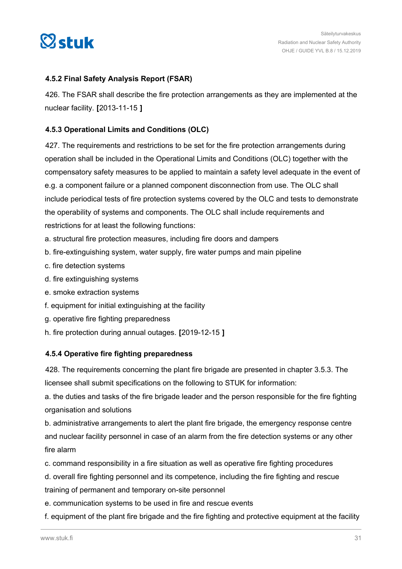<span id="page-30-0"></span>

#### **4.5.2 Final Safety Analysis Report (FSAR)**

426. The FSAR shall describe the fire protection arrangements as they are implemented at the nuclear facility. **[**2013-11-15 **]**

#### **4.5.3 Operational Limits and Conditions (OLC)**

427. The requirements and restrictions to be set for the fire protection arrangements during operation shall be included in the Operational Limits and Conditions (OLC) together with the compensatory safety measures to be applied to maintain a safety level adequate in the event of e.g. a component failure or a planned component disconnection from use. The OLC shall include periodical tests of fire protection systems covered by the OLC and tests to demonstrate the operability of systems and components. The OLC shall include requirements and restrictions for at least the following functions:

- a. structural fire protection measures, including fire doors and dampers
- b. fire-extinguishing system, water supply, fire water pumps and main pipeline
- c. fire detection systems
- d. fire extinguishing systems
- e. smoke extraction systems
- f. equipment for initial extinguishing at the facility
- g. operative fire fighting preparedness
- h. fire protection during annual outages. **[**2019-12-15 **]**

#### **4.5.4 Operative fire fighting preparedness**

428. The requirements concerning the plant fire brigade are presented in chapter 3.5.3. The licensee shall submit specifications on the following to STUK for information:

a. the duties and tasks of the fire brigade leader and the person responsible for the fire fighting organisation and solutions

b. administrative arrangements to alert the plant fire brigade, the emergency response centre and nuclear facility personnel in case of an alarm from the fire detection systems or any other fire alarm

c. command responsibility in a fire situation as well as operative fire fighting procedures

d. overall fire fighting personnel and its competence, including the fire fighting and rescue training of permanent and temporary on-site personnel

e. communication systems to be used in fire and rescue events

f. equipment of the plant fire brigade and the fire fighting and protective equipment at the facility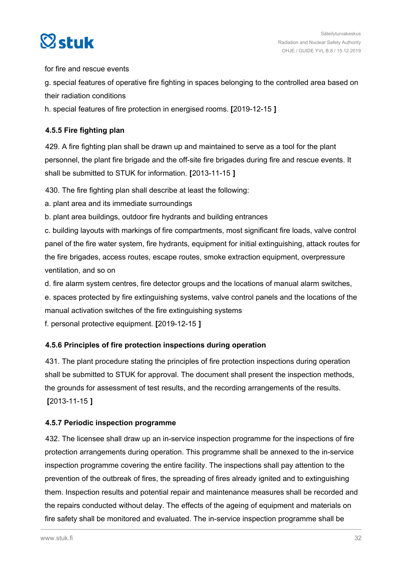<span id="page-31-0"></span>

for fire and rescue events

g. special features of operative fire fighting in spaces belonging to the controlled area based on their radiation conditions

h. special features of fire protection in energised rooms. **[**2019-12-15 **]**

#### **4.5.5 Fire fighting plan**

429. A fire fighting plan shall be drawn up and maintained to serve as a tool for the plant personnel, the plant fire brigade and the off-site fire brigades during fire and rescue events. It shall be submitted to STUK for information. **[**2013-11-15 **]**

430. The fire fighting plan shall describe at least the following:

a. plant area and its immediate surroundings

b. plant area buildings, outdoor fire hydrants and building entrances

c. building layouts with markings of fire compartments, most significant fire loads, valve control panel of the fire water system, fire hydrants, equipment for initial extinguishing, attack routes for the fire brigades, access routes, escape routes, smoke extraction equipment, overpressure ventilation, and so on

d. fire alarm system centres, fire detector groups and the locations of manual alarm switches,

e. spaces protected by fire extinguishing systems, valve control panels and the locations of the manual activation switches of the fire extinguishing systems

f. personal protective equipment. **[**2019-12-15 **]**

#### **4.5.6 Principles of fire protection inspections during operation**

431. The plant procedure stating the principles of fire protection inspections during operation shall be submitted to STUK for approval. The document shall present the inspection methods, the grounds for assessment of test results, and the recording arrangements of the results. **[**2013-11-15 **]**

#### **4.5.7 Periodic inspection programme**

432. The licensee shall draw up an in-service inspection programme for the inspections of fire protection arrangements during operation. This programme shall be annexed to the in-service inspection programme covering the entire facility. The inspections shall pay attention to the prevention of the outbreak of fires, the spreading of fires already ignited and to extinguishing them. Inspection results and potential repair and maintenance measures shall be recorded and the repairs conducted without delay. The effects of the ageing of equipment and materials on fire safety shall be monitored and evaluated. The in-service inspection programme shall be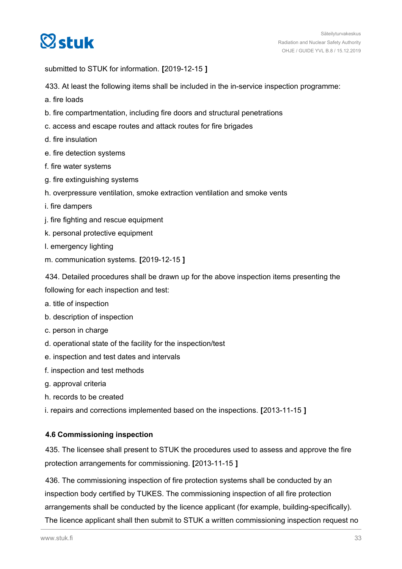<span id="page-32-0"></span>

submitted to STUK for information. **[**2019-12-15 **]**

433. At least the following items shall be included in the in-service inspection programme:

- a. fire loads
- b. fire compartmentation, including fire doors and structural penetrations
- c. access and escape routes and attack routes for fire brigades
- d. fire insulation
- e. fire detection systems
- f. fire water systems
- g. fire extinguishing systems
- h. overpressure ventilation, smoke extraction ventilation and smoke vents
- i. fire dampers
- j. fire fighting and rescue equipment
- k. personal protective equipment
- l. emergency lighting
- m. communication systems. **[**2019-12-15 **]**

434. Detailed procedures shall be drawn up for the above inspection items presenting the following for each inspection and test:

- a. title of inspection
- b. description of inspection
- c. person in charge
- d. operational state of the facility for the inspection/test
- e. inspection and test dates and intervals
- f. inspection and test methods
- g. approval criteria
- h. records to be created
- i. repairs and corrections implemented based on the inspections. **[**2013-11-15 **]**

#### **4.6 Commissioning inspection**

435. The licensee shall present to STUK the procedures used to assess and approve the fire protection arrangements for commissioning. **[**2013-11-15 **]**

436. The commissioning inspection of fire protection systems shall be conducted by an inspection body certified by TUKES. The commissioning inspection of all fire protection arrangements shall be conducted by the licence applicant (for example, building-specifically). The licence applicant shall then submit to STUK a written commissioning inspection request no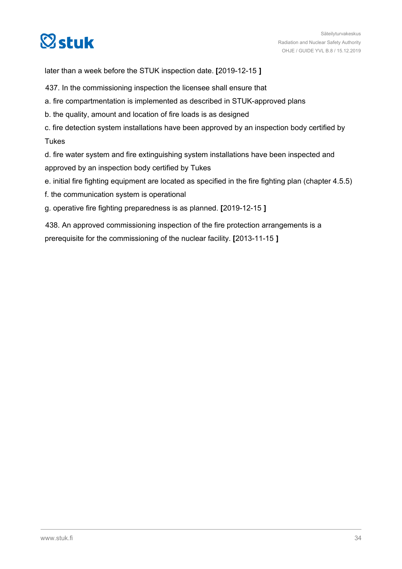

later than a week before the STUK inspection date. **[**2019-12-15 **]**

- 437. In the commissioning inspection the licensee shall ensure that
- a. fire compartmentation is implemented as described in STUK-approved plans
- b. the quality, amount and location of fire loads is as designed
- c. fire detection system installations have been approved by an inspection body certified by Tukes

d. fire water system and fire extinguishing system installations have been inspected and approved by an inspection body certified by Tukes

- e. initial fire fighting equipment are located as specified in the fire fighting plan (chapter 4.5.5)
- f. the communication system is operational
- g. operative fire fighting preparedness is as planned. **[**2019-12-15 **]**

438. An approved commissioning inspection of the fire protection arrangements is a prerequisite for the commissioning of the nuclear facility. **[**2013-11-15 **]**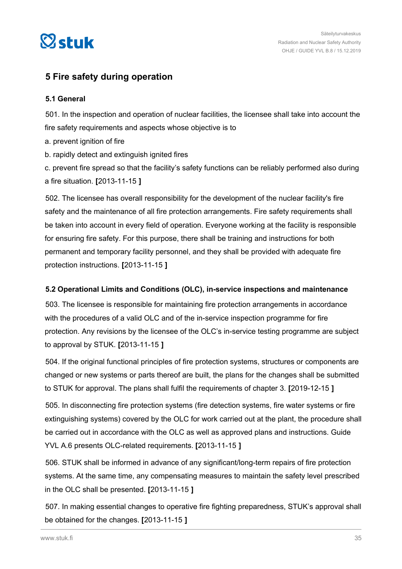<span id="page-34-0"></span>

### **5 Fire safety during operation**

#### **5.1 General**

501. In the inspection and operation of nuclear facilities, the licensee shall take into account the fire safety requirements and aspects whose objective is to

- a. prevent ignition of fire
- b. rapidly detect and extinguish ignited fires

c. prevent fire spread so that the facility's safety functions can be reliably performed also during a fire situation. **[**2013-11-15 **]**

502. The licensee has overall responsibility for the development of the nuclear facility's fire safety and the maintenance of all fire protection arrangements. Fire safety requirements shall be taken into account in every field of operation. Everyone working at the facility is responsible for ensuring fire safety. For this purpose, there shall be training and instructions for both permanent and temporary facility personnel, and they shall be provided with adequate fire protection instructions. **[**2013-11-15 **]**

#### **5.2 Operational Limits and Conditions (OLC), in-service inspections and maintenance**

503. The licensee is responsible for maintaining fire protection arrangements in accordance with the procedures of a valid OLC and of the in-service inspection programme for fire protection. Any revisions by the licensee of the OLC's in-service testing programme are subject to approval by STUK. **[**2013-11-15 **]**

504. If the original functional principles of fire protection systems, structures or components are changed or new systems or parts thereof are built, the plans for the changes shall be submitted to STUK for approval. The plans shall fulfil the requirements of chapter 3. **[**2019-12-15 **]**

505. In disconnecting fire protection systems (fire detection systems, fire water systems or fire extinguishing systems) covered by the OLC for work carried out at the plant, the procedure shall be carried out in accordance with the OLC as well as approved plans and instructions. Guide YVL A.6 presents OLC-related requirements. **[**2013-11-15 **]**

506. STUK shall be informed in advance of any significant/long-term repairs of fire protection systems. At the same time, any compensating measures to maintain the safety level prescribed in the OLC shall be presented. **[**2013-11-15 **]**

507. In making essential changes to operative fire fighting preparedness, STUK's approval shall be obtained for the changes. **[**2013-11-15 **]**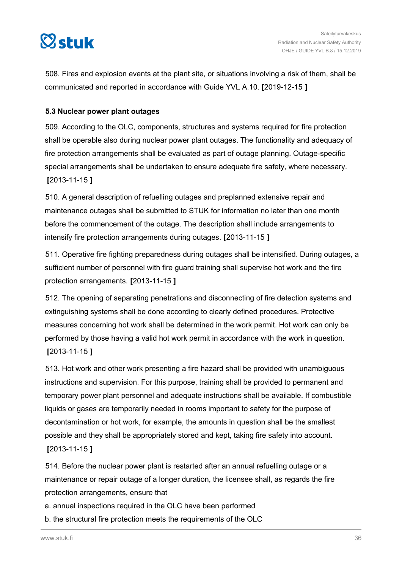<span id="page-35-0"></span>

508. Fires and explosion events at the plant site, or situations involving a risk of them, shall be communicated and reported in accordance with Guide YVL A.10. **[**2019-12-15 **]**

#### **5.3 Nuclear power plant outages**

509. According to the OLC, components, structures and systems required for fire protection shall be operable also during nuclear power plant outages. The functionality and adequacy of fire protection arrangements shall be evaluated as part of outage planning. Outage-specific special arrangements shall be undertaken to ensure adequate fire safety, where necessary. **[**2013-11-15 **]**

510. A general description of refuelling outages and preplanned extensive repair and maintenance outages shall be submitted to STUK for information no later than one month before the commencement of the outage. The description shall include arrangements to intensify fire protection arrangements during outages. **[**2013-11-15 **]**

511. Operative fire fighting preparedness during outages shall be intensified. During outages, a sufficient number of personnel with fire guard training shall supervise hot work and the fire protection arrangements. **[**2013-11-15 **]**

512. The opening of separating penetrations and disconnecting of fire detection systems and extinguishing systems shall be done according to clearly defined procedures. Protective measures concerning hot work shall be determined in the work permit. Hot work can only be performed by those having a valid hot work permit in accordance with the work in question. **[**2013-11-15 **]**

513. Hot work and other work presenting a fire hazard shall be provided with unambiguous instructions and supervision. For this purpose, training shall be provided to permanent and temporary power plant personnel and adequate instructions shall be available. If combustible liquids or gases are temporarily needed in rooms important to safety for the purpose of decontamination or hot work, for example, the amounts in question shall be the smallest possible and they shall be appropriately stored and kept, taking fire safety into account. **[**2013-11-15 **]**

514. Before the nuclear power plant is restarted after an annual refuelling outage or a maintenance or repair outage of a longer duration, the licensee shall, as regards the fire protection arrangements, ensure that

- a. annual inspections required in the OLC have been performed
- b. the structural fire protection meets the requirements of the OLC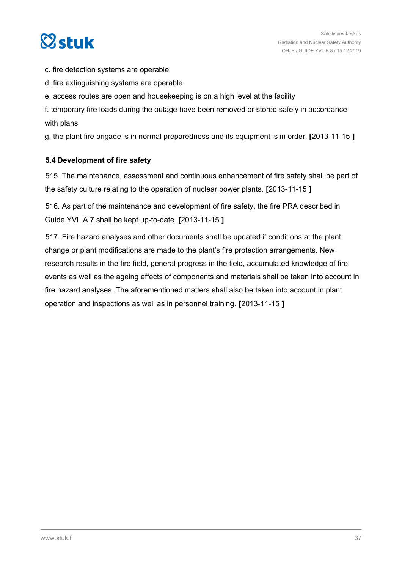<span id="page-36-0"></span>

- c. fire detection systems are operable
- d. fire extinguishing systems are operable
- e. access routes are open and housekeeping is on a high level at the facility

f. temporary fire loads during the outage have been removed or stored safely in accordance with plans

g. the plant fire brigade is in normal preparedness and its equipment is in order. **[**2013-11-15 **]**

#### **5.4 Development of fire safety**

515. The maintenance, assessment and continuous enhancement of fire safety shall be part of the safety culture relating to the operation of nuclear power plants. **[**2013-11-15 **]**

516. As part of the maintenance and development of fire safety, the fire PRA described in Guide YVL A.7 shall be kept up-to-date. **[**2013-11-15 **]**

517. Fire hazard analyses and other documents shall be updated if conditions at the plant change or plant modifications are made to the plant's fire protection arrangements. New research results in the fire field, general progress in the field, accumulated knowledge of fire events as well as the ageing effects of components and materials shall be taken into account in fire hazard analyses. The aforementioned matters shall also be taken into account in plant operation and inspections as well as in personnel training. **[**2013-11-15 **]**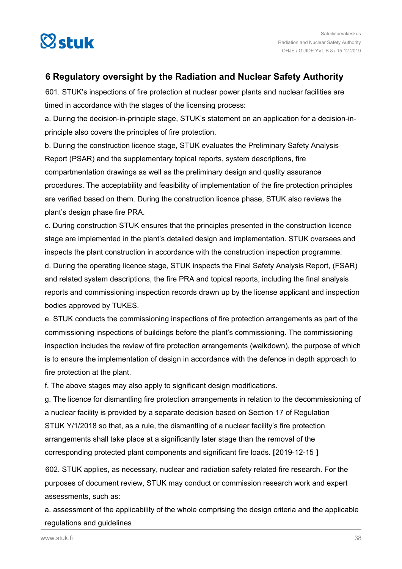<span id="page-37-0"></span>

### **6 Regulatory oversight by the Radiation and Nuclear Safety Authority**

601. STUK's inspections of fire protection at nuclear power plants and nuclear facilities are timed in accordance with the stages of the licensing process:

a. During the decision-in-principle stage, STUK's statement on an application for a decision-inprinciple also covers the principles of fire protection.

b. During the construction licence stage, STUK evaluates the Preliminary Safety Analysis Report (PSAR) and the supplementary topical reports, system descriptions, fire compartmentation drawings as well as the preliminary design and quality assurance procedures. The acceptability and feasibility of implementation of the fire protection principles are verified based on them. During the construction licence phase, STUK also reviews the plant's design phase fire PRA.

c. During construction STUK ensures that the principles presented in the construction licence stage are implemented in the plant's detailed design and implementation. STUK oversees and inspects the plant construction in accordance with the construction inspection programme. d. During the operating licence stage, STUK inspects the Final Safety Analysis Report, (FSAR) and related system descriptions, the fire PRA and topical reports, including the final analysis reports and commissioning inspection records drawn up by the license applicant and inspection bodies approved by TUKES.

e. STUK conducts the commissioning inspections of fire protection arrangements as part of the commissioning inspections of buildings before the plant's commissioning. The commissioning inspection includes the review of fire protection arrangements (walkdown), the purpose of which is to ensure the implementation of design in accordance with the defence in depth approach to fire protection at the plant.

f. The above stages may also apply to significant design modifications.

g. The licence for dismantling fire protection arrangements in relation to the decommissioning of a nuclear facility is provided by a separate decision based on Section 17 of Regulation STUK Y/1/2018 so that, as a rule, the dismantling of a nuclear facility's fire protection arrangements shall take place at a significantly later stage than the removal of the corresponding protected plant components and significant fire loads. **[**2019-12-15 **]**

602. STUK applies, as necessary, nuclear and radiation safety related fire research. For the purposes of document review, STUK may conduct or commission research work and expert assessments, such as:

a. assessment of the applicability of the whole comprising the design criteria and the applicable regulations and guidelines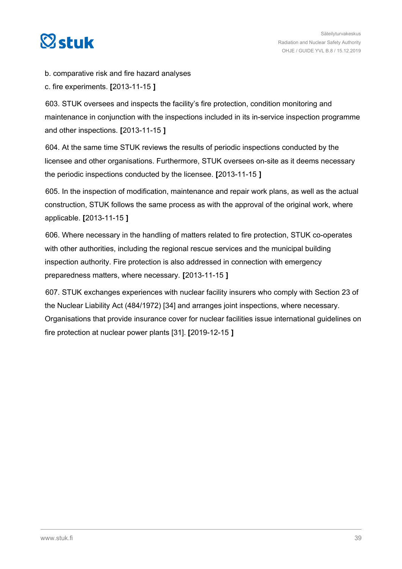

b. comparative risk and fire hazard analyses

c. fire experiments. **[**2013-11-15 **]**

603. STUK oversees and inspects the facility's fire protection, condition monitoring and maintenance in conjunction with the inspections included in its in-service inspection programme and other inspections. **[**2013-11-15 **]**

604. At the same time STUK reviews the results of periodic inspections conducted by the licensee and other organisations. Furthermore, STUK oversees on-site as it deems necessary the periodic inspections conducted by the licensee. **[**2013-11-15 **]**

605. In the inspection of modification, maintenance and repair work plans, as well as the actual construction, STUK follows the same process as with the approval of the original work, where applicable. **[**2013-11-15 **]**

606. Where necessary in the handling of matters related to fire protection, STUK co-operates with other authorities, including the regional rescue services and the municipal building inspection authority. Fire protection is also addressed in connection with emergency preparedness matters, where necessary. **[**2013-11-15 **]**

607. STUK exchanges experiences with nuclear facility insurers who comply with Section 23 of the Nuclear Liability Act (484/1972) [34] and arranges joint inspections, where necessary. Organisations that provide insurance cover for nuclear facilities issue international guidelines on fire protection at nuclear power plants [31]. **[**2019-12-15 **]**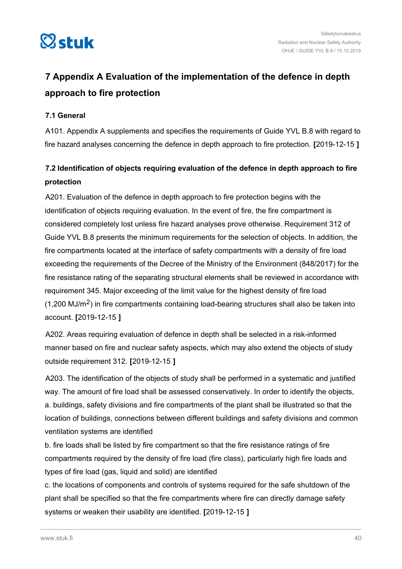<span id="page-39-0"></span>

## **7 Appendix A Evaluation of the implementation of the defence in depth approach to fire protection**

#### **7.1 General**

A101. Appendix A supplements and specifies the requirements of Guide YVL B.8 with regard to fire hazard analyses concerning the defence in depth approach to fire protection. **[**2019-12-15 **]**

## **7.2 Identification of objects requiring evaluation of the defence in depth approach to fire protection**

A201. Evaluation of the defence in depth approach to fire protection begins with the identification of objects requiring evaluation. In the event of fire, the fire compartment is considered completely lost unless fire hazard analyses prove otherwise. Requirement 312 of Guide YVL B.8 presents the minimum requirements for the selection of objects. In addition, the fire compartments located at the interface of safety compartments with a density of fire load exceeding the requirements of the Decree of the Ministry of the Environment (848/2017) for the fire resistance rating of the separating structural elements shall be reviewed in accordance with requirement 345. Major exceeding of the limit value for the highest density of fire load  $(1,200 \text{ MJ/m}^2)$  in fire compartments containing load-bearing structures shall also be taken into account. **[**2019-12-15 **]**

A202. Areas requiring evaluation of defence in depth shall be selected in a risk-informed manner based on fire and nuclear safety aspects, which may also extend the objects of study outside requirement 312. **[**2019-12-15 **]**

A203. The identification of the objects of study shall be performed in a systematic and justified way. The amount of fire load shall be assessed conservatively. In order to identify the objects, a. buildings, safety divisions and fire compartments of the plant shall be illustrated so that the location of buildings, connections between different buildings and safety divisions and common ventilation systems are identified

b. fire loads shall be listed by fire compartment so that the fire resistance ratings of fire compartments required by the density of fire load (fire class), particularly high fire loads and types of fire load (gas, liquid and solid) are identified

c. the locations of components and controls of systems required for the safe shutdown of the plant shall be specified so that the fire compartments where fire can directly damage safety systems or weaken their usability are identified. **[**2019-12-15 **]**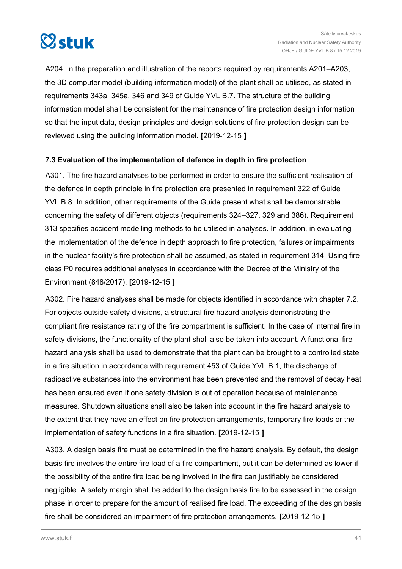<span id="page-40-0"></span>

A204. In the preparation and illustration of the reports required by requirements A201–A203, the 3D computer model (building information model) of the plant shall be utilised, as stated in requirements 343a, 345a, 346 and 349 of Guide YVL B.7. The structure of the building information model shall be consistent for the maintenance of fire protection design information so that the input data, design principles and design solutions of fire protection design can be reviewed using the building information model. **[**2019-12-15 **]**

#### **7.3 Evaluation of the implementation of defence in depth in fire protection**

A301. The fire hazard analyses to be performed in order to ensure the sufficient realisation of the defence in depth principle in fire protection are presented in requirement 322 of Guide YVL B.8. In addition, other requirements of the Guide present what shall be demonstrable concerning the safety of different objects (requirements 324–327, 329 and 386). Requirement 313 specifies accident modelling methods to be utilised in analyses. In addition, in evaluating the implementation of the defence in depth approach to fire protection, failures or impairments in the nuclear facility's fire protection shall be assumed, as stated in requirement 314. Using fire class P0 requires additional analyses in accordance with the Decree of the Ministry of the Environment (848/2017). **[**2019-12-15 **]**

A302. Fire hazard analyses shall be made for objects identified in accordance with chapter 7.2. For objects outside safety divisions, a structural fire hazard analysis demonstrating the compliant fire resistance rating of the fire compartment is sufficient. In the case of internal fire in safety divisions, the functionality of the plant shall also be taken into account. A functional fire hazard analysis shall be used to demonstrate that the plant can be brought to a controlled state in a fire situation in accordance with requirement 453 of Guide YVL B.1, the discharge of radioactive substances into the environment has been prevented and the removal of decay heat has been ensured even if one safety division is out of operation because of maintenance measures. Shutdown situations shall also be taken into account in the fire hazard analysis to the extent that they have an effect on fire protection arrangements, temporary fire loads or the implementation of safety functions in a fire situation. **[**2019-12-15 **]**

A303. A design basis fire must be determined in the fire hazard analysis. By default, the design basis fire involves the entire fire load of a fire compartment, but it can be determined as lower if the possibility of the entire fire load being involved in the fire can justifiably be considered negligible. A safety margin shall be added to the design basis fire to be assessed in the design phase in order to prepare for the amount of realised fire load. The exceeding of the design basis fire shall be considered an impairment of fire protection arrangements. **[**2019-12-15 **]**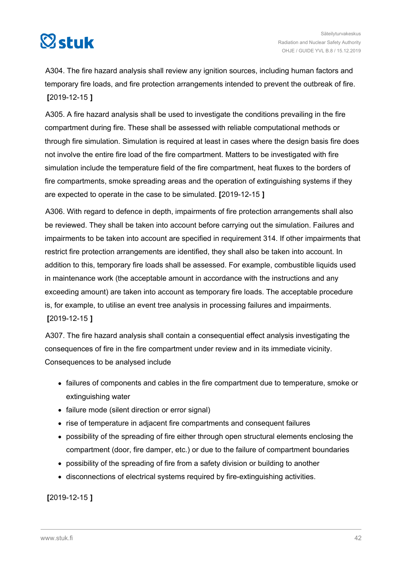

A304. The fire hazard analysis shall review any ignition sources, including human factors and temporary fire loads, and fire protection arrangements intended to prevent the outbreak of fire. **[**2019-12-15 **]**

A305. A fire hazard analysis shall be used to investigate the conditions prevailing in the fire compartment during fire. These shall be assessed with reliable computational methods or through fire simulation. Simulation is required at least in cases where the design basis fire does not involve the entire fire load of the fire compartment. Matters to be investigated with fire simulation include the temperature field of the fire compartment, heat fluxes to the borders of fire compartments, smoke spreading areas and the operation of extinguishing systems if they are expected to operate in the case to be simulated. **[**2019-12-15 **]**

A306. With regard to defence in depth, impairments of fire protection arrangements shall also be reviewed. They shall be taken into account before carrying out the simulation. Failures and impairments to be taken into account are specified in requirement 314. If other impairments that restrict fire protection arrangements are identified, they shall also be taken into account. In addition to this, temporary fire loads shall be assessed. For example, combustible liquids used in maintenance work (the acceptable amount in accordance with the instructions and any exceeding amount) are taken into account as temporary fire loads. The acceptable procedure is, for example, to utilise an event tree analysis in processing failures and impairments. **[**2019-12-15 **]**

A307. The fire hazard analysis shall contain a consequential effect analysis investigating the consequences of fire in the fire compartment under review and in its immediate vicinity. Consequences to be analysed include

- failures of components and cables in the fire compartment due to temperature, smoke or extinguishing water
- failure mode (silent direction or error signal)
- rise of temperature in adjacent fire compartments and consequent failures
- possibility of the spreading of fire either through open structural elements enclosing the compartment (door, fire damper, etc.) or due to the failure of compartment boundaries
- possibility of the spreading of fire from a safety division or building to another
- disconnections of electrical systems required by fire-extinguishing activities.

**[**2019-12-15 **]**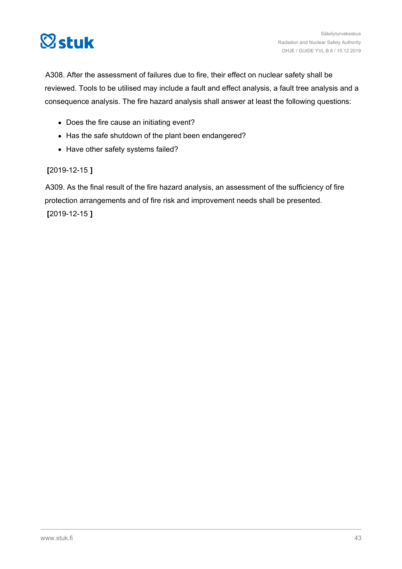

A308. After the assessment of failures due to fire, their effect on nuclear safety shall be reviewed. Tools to be utilised may include a fault and effect analysis, a fault tree analysis and a consequence analysis. The fire hazard analysis shall answer at least the following questions:

- Does the fire cause an initiating event?
- Has the safe shutdown of the plant been endangered?
- Have other safety systems failed?

**[**2019-12-15 **]**

A309. As the final result of the fire hazard analysis, an assessment of the sufficiency of fire protection arrangements and of fire risk and improvement needs shall be presented. **[**2019-12-15 **]**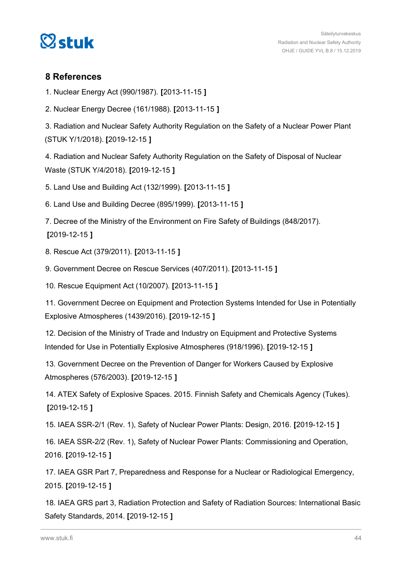<span id="page-43-0"></span>

#### **8 References**

1. Nuclear Energy Act (990/1987). **[**2013-11-15 **]**

2. Nuclear Energy Decree (161/1988). **[**2013-11-15 **]**

3. Radiation and Nuclear Safety Authority Regulation on the Safety of a Nuclear Power Plant (STUK Y/1/2018). **[**2019-12-15 **]**

4. Radiation and Nuclear Safety Authority Regulation on the Safety of Disposal of Nuclear Waste (STUK Y/4/2018). **[**2019-12-15 **]**

5. Land Use and Building Act (132/1999). **[**2013-11-15 **]**

6. Land Use and Building Decree (895/1999). **[**2013-11-15 **]**

7. Decree of the Ministry of the Environment on Fire Safety of Buildings (848/2017). **[**2019-12-15 **]**

8. Rescue Act (379/2011). **[**2013-11-15 **]**

9. Government Decree on Rescue Services (407/2011). **[**2013-11-15 **]**

10. Rescue Equipment Act (10/2007). **[**2013-11-15 **]**

11. Government Decree on Equipment and Protection Systems Intended for Use in Potentially Explosive Atmospheres (1439/2016). **[**2019-12-15 **]**

12. Decision of the Ministry of Trade and Industry on Equipment and Protective Systems Intended for Use in Potentially Explosive Atmospheres (918/1996). **[**2019-12-15 **]**

13. Government Decree on the Prevention of Danger for Workers Caused by Explosive Atmospheres (576/2003). **[**2019-12-15 **]**

14. ATEX Safety of Explosive Spaces. 2015. Finnish Safety and Chemicals Agency (Tukes). **[**2019-12-15 **]**

15. IAEA SSR-2/1 (Rev. 1), Safety of Nuclear Power Plants: Design, 2016. **[**2019-12-15 **]**

16. IAEA SSR-2/2 (Rev. 1), Safety of Nuclear Power Plants: Commissioning and Operation, 2016. **[**2019-12-15 **]**

17. IAEA GSR Part 7, Preparedness and Response for a Nuclear or Radiological Emergency, 2015. **[**2019-12-15 **]**

18. IAEA GRS part 3, Radiation Protection and Safety of Radiation Sources: International Basic Safety Standards, 2014. **[**2019-12-15 **]**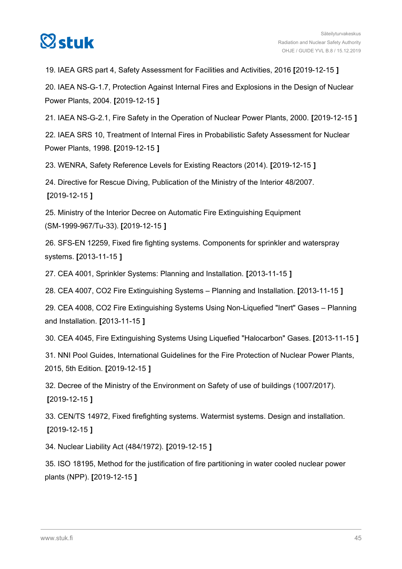

19. IAEA GRS part 4, Safety Assessment for Facilities and Activities, 2016 **[**2019-12-15 **]**

20. IAEA NS-G-1.7, Protection Against Internal Fires and Explosions in the Design of Nuclear Power Plants, 2004. **[**2019-12-15 **]**

21. IAEA NS-G-2.1, Fire Safety in the Operation of Nuclear Power Plants, 2000. **[**2019-12-15 **]**

22. IAEA SRS 10, Treatment of Internal Fires in Probabilistic Safety Assessment for Nuclear Power Plants, 1998. **[**2019-12-15 **]**

23. WENRA, Safety Reference Levels for Existing Reactors (2014). **[**2019-12-15 **]**

24. Directive for Rescue Diving, Publication of the Ministry of the Interior 48/2007. **[**2019-12-15 **]**

25. Ministry of the Interior Decree on Automatic Fire Extinguishing Equipment (SM-1999-967/Tu-33). **[**2019-12-15 **]**

26. SFS-EN 12259, Fixed fire fighting systems. Components for sprinkler and waterspray systems. **[**2013-11-15 **]**

27. CEA 4001, Sprinkler Systems: Planning and Installation. **[**2013-11-15 **]**

28. CEA 4007, CO2 Fire Extinguishing Systems – Planning and Installation. **[**2013-11-15 **]**

29. CEA 4008, CO2 Fire Extinguishing Systems Using Non-Liquefied "Inert" Gases – Planning and Installation. **[**2013-11-15 **]**

30. CEA 4045, Fire Extinguishing Systems Using Liquefied "Halocarbon" Gases. **[**2013-11-15 **]**

31. NNI Pool Guides, International Guidelines for the Fire Protection of Nuclear Power Plants, 2015, 5th Edition. **[**2019-12-15 **]**

32. Decree of the Ministry of the Environment on Safety of use of buildings (1007/2017). **[**2019-12-15 **]**

33. CEN/TS 14972, Fixed firefighting systems. Watermist systems. Design and installation. **[**2019-12-15 **]**

34. Nuclear Liability Act (484/1972). **[**2019-12-15 **]**

35. ISO 18195, Method for the justification of fire partitioning in water cooled nuclear power plants (NPP). **[**2019-12-15 **]**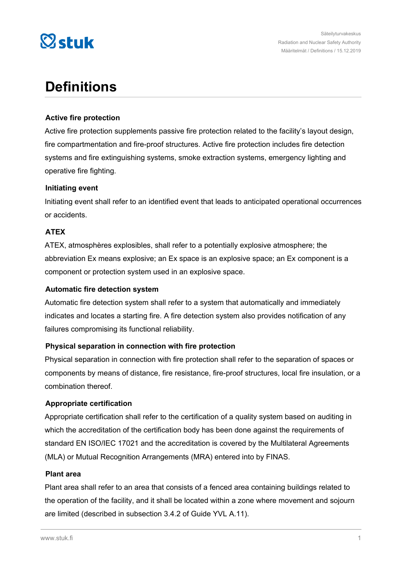

## **Definitions**

#### **Active fire protection**

Active fire protection supplements passive fire protection related to the facility's layout design, fire compartmentation and fire-proof structures. Active fire protection includes fire detection systems and fire extinguishing systems, smoke extraction systems, emergency lighting and operative fire fighting.

#### **Initiating event**

Initiating event shall refer to an identified event that leads to anticipated operational occurrences or accidents.

#### **ATEX**

ATEX, atmosphères explosibles, shall refer to a potentially explosive atmosphere; the abbreviation Ex means explosive; an Ex space is an explosive space; an Ex component is a component or protection system used in an explosive space.

#### **Automatic fire detection system**

Automatic fire detection system shall refer to a system that automatically and immediately indicates and locates a starting fire. A fire detection system also provides notification of any failures compromising its functional reliability.

#### **Physical separation in connection with fire protection**

Physical separation in connection with fire protection shall refer to the separation of spaces or components by means of distance, fire resistance, fire-proof structures, local fire insulation, or a combination thereof.

#### **Appropriate certification**

Appropriate certification shall refer to the certification of a quality system based on auditing in which the accreditation of the certification body has been done against the requirements of standard EN ISO/IEC 17021 and the accreditation is covered by the Multilateral Agreements (MLA) or Mutual Recognition Arrangements (MRA) entered into by FINAS.

#### **Plant area**

Plant area shall refer to an area that consists of a fenced area containing buildings related to the operation of the facility, and it shall be located within a zone where movement and sojourn are limited (described in subsection 3.4.2 of Guide YVL A.11).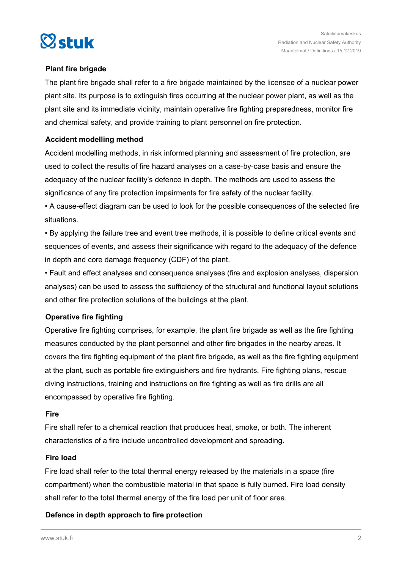

#### **Plant fire brigade**

The plant fire brigade shall refer to a fire brigade maintained by the licensee of a nuclear power plant site. Its purpose is to extinguish fires occurring at the nuclear power plant, as well as the plant site and its immediate vicinity, maintain operative fire fighting preparedness, monitor fire and chemical safety, and provide training to plant personnel on fire protection.

#### **Accident modelling method**

Accident modelling methods, in risk informed planning and assessment of fire protection, are used to collect the results of fire hazard analyses on a case-by-case basis and ensure the adequacy of the nuclear facility's defence in depth. The methods are used to assess the significance of any fire protection impairments for fire safety of the nuclear facility.

• A cause-effect diagram can be used to look for the possible consequences of the selected fire situations.

• By applying the failure tree and event tree methods, it is possible to define critical events and sequences of events, and assess their significance with regard to the adequacy of the defence in depth and core damage frequency (CDF) of the plant.

• Fault and effect analyses and consequence analyses (fire and explosion analyses, dispersion analyses) can be used to assess the sufficiency of the structural and functional layout solutions and other fire protection solutions of the buildings at the plant.

#### **Operative fire fighting**

Operative fire fighting comprises, for example, the plant fire brigade as well as the fire fighting measures conducted by the plant personnel and other fire brigades in the nearby areas. It covers the fire fighting equipment of the plant fire brigade, as well as the fire fighting equipment at the plant, such as portable fire extinguishers and fire hydrants. Fire fighting plans, rescue diving instructions, training and instructions on fire fighting as well as fire drills are all encompassed by operative fire fighting.

#### **Fire**

Fire shall refer to a chemical reaction that produces heat, smoke, or both. The inherent characteristics of a fire include uncontrolled development and spreading.

#### **Fire load**

Fire load shall refer to the total thermal energy released by the materials in a space (fire compartment) when the combustible material in that space is fully burned. Fire load density shall refer to the total thermal energy of the fire load per unit of floor area.

#### **Defence in depth approach to fire protection**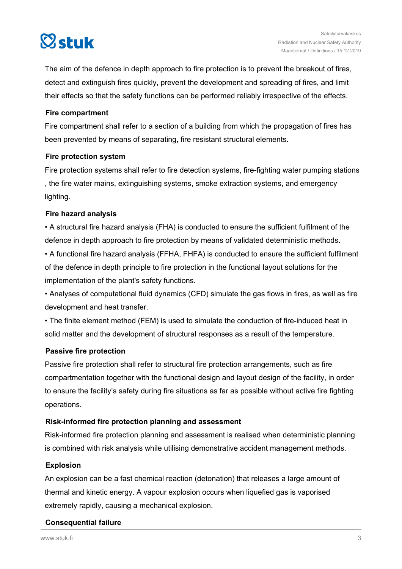# $\heartsuit$ stuk

The aim of the defence in depth approach to fire protection is to prevent the breakout of fires, detect and extinguish fires quickly, prevent the development and spreading of fires, and limit their effects so that the safety functions can be performed reliably irrespective of the effects.

#### **Fire compartment**

Fire compartment shall refer to a section of a building from which the propagation of fires has been prevented by means of separating, fire resistant structural elements.

#### **Fire protection system**

Fire protection systems shall refer to fire detection systems, fire-fighting water pumping stations , the fire water mains, extinguishing systems, smoke extraction systems, and emergency lighting.

#### **Fire hazard analysis**

• A structural fire hazard analysis (FHA) is conducted to ensure the sufficient fulfilment of the defence in depth approach to fire protection by means of validated deterministic methods.

• A functional fire hazard analysis (FFHA, FHFA) is conducted to ensure the sufficient fulfilment of the defence in depth principle to fire protection in the functional layout solutions for the implementation of the plant's safety functions.

• Analyses of computational fluid dynamics (CFD) simulate the gas flows in fires, as well as fire development and heat transfer.

• The finite element method (FEM) is used to simulate the conduction of fire-induced heat in solid matter and the development of structural responses as a result of the temperature.

#### **Passive fire protection**

Passive fire protection shall refer to structural fire protection arrangements, such as fire compartmentation together with the functional design and layout design of the facility, in order to ensure the facility's safety during fire situations as far as possible without active fire fighting operations.

#### **Risk-informed fire protection planning and assessment**

Risk-informed fire protection planning and assessment is realised when deterministic planning is combined with risk analysis while utilising demonstrative accident management methods.

#### **Explosion**

An explosion can be a fast chemical reaction (detonation) that releases a large amount of thermal and kinetic energy. A vapour explosion occurs when liquefied gas is vaporised extremely rapidly, causing a mechanical explosion.

#### **Consequential failure**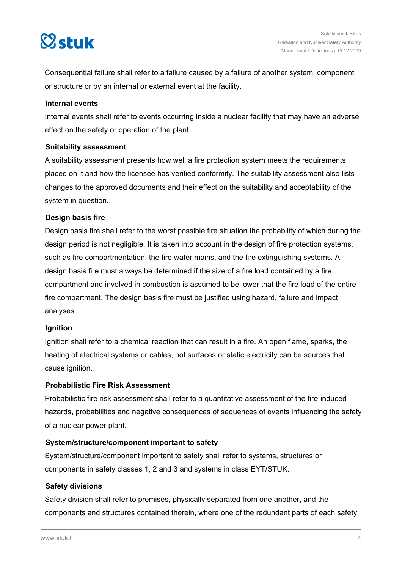

Consequential failure shall refer to a failure caused by a failure of another system, component or structure or by an internal or external event at the facility.

#### **Internal events**

Internal events shall refer to events occurring inside a nuclear facility that may have an adverse effect on the safety or operation of the plant.

#### **Suitability assessment**

A suitability assessment presents how well a fire protection system meets the requirements placed on it and how the licensee has verified conformity. The suitability assessment also lists changes to the approved documents and their effect on the suitability and acceptability of the system in question.

#### **Design basis fire**

Design basis fire shall refer to the worst possible fire situation the probability of which during the design period is not negligible. It is taken into account in the design of fire protection systems, such as fire compartmentation, the fire water mains, and the fire extinguishing systems. A design basis fire must always be determined if the size of a fire load contained by a fire compartment and involved in combustion is assumed to be lower that the fire load of the entire fire compartment. The design basis fire must be justified using hazard, failure and impact analyses.

#### **Ignition**

Ignition shall refer to a chemical reaction that can result in a fire. An open flame, sparks, the heating of electrical systems or cables, hot surfaces or static electricity can be sources that cause ignition.

#### **Probabilistic Fire Risk Assessment**

Probabilistic fire risk assessment shall refer to a quantitative assessment of the fire-induced hazards, probabilities and negative consequences of sequences of events influencing the safety of a nuclear power plant.

#### **System/structure/component important to safety**

System/structure/component important to safety shall refer to systems, structures or components in safety classes 1, 2 and 3 and systems in class EYT/STUK.

#### **Safety divisions**

Safety division shall refer to premises, physically separated from one another, and the components and structures contained therein, where one of the redundant parts of each safety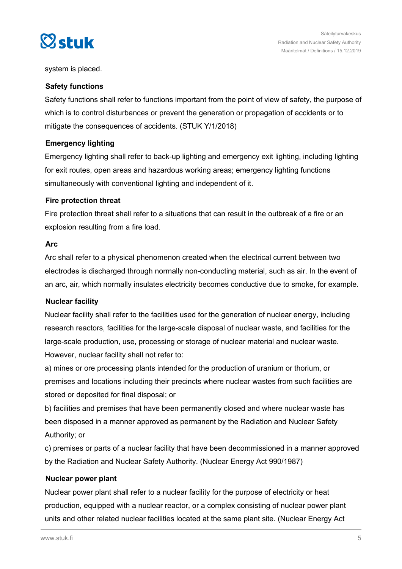

system is placed.

#### **Safety functions**

Safety functions shall refer to functions important from the point of view of safety, the purpose of which is to control disturbances or prevent the generation or propagation of accidents or to mitigate the consequences of accidents. (STUK Y/1/2018)

#### **Emergency lighting**

Emergency lighting shall refer to back-up lighting and emergency exit lighting, including lighting for exit routes, open areas and hazardous working areas; emergency lighting functions simultaneously with conventional lighting and independent of it.

#### **Fire protection threat**

Fire protection threat shall refer to a situations that can result in the outbreak of a fire or an explosion resulting from a fire load.

#### **Arc**

Arc shall refer to a physical phenomenon created when the electrical current between two electrodes is discharged through normally non-conducting material, such as air. In the event of an arc, air, which normally insulates electricity becomes conductive due to smoke, for example.

#### **Nuclear facility**

Nuclear facility shall refer to the facilities used for the generation of nuclear energy, including research reactors, facilities for the large-scale disposal of nuclear waste, and facilities for the large-scale production, use, processing or storage of nuclear material and nuclear waste. However, nuclear facility shall not refer to:

a) mines or ore processing plants intended for the production of uranium or thorium, or premises and locations including their precincts where nuclear wastes from such facilities are stored or deposited for final disposal; or

b) facilities and premises that have been permanently closed and where nuclear waste has been disposed in a manner approved as permanent by the Radiation and Nuclear Safety Authority; or

c) premises or parts of a nuclear facility that have been decommissioned in a manner approved by the Radiation and Nuclear Safety Authority. (Nuclear Energy Act 990/1987)

#### **Nuclear power plant**

Nuclear power plant shall refer to a nuclear facility for the purpose of electricity or heat production, equipped with a nuclear reactor, or a complex consisting of nuclear power plant units and other related nuclear facilities located at the same plant site. (Nuclear Energy Act